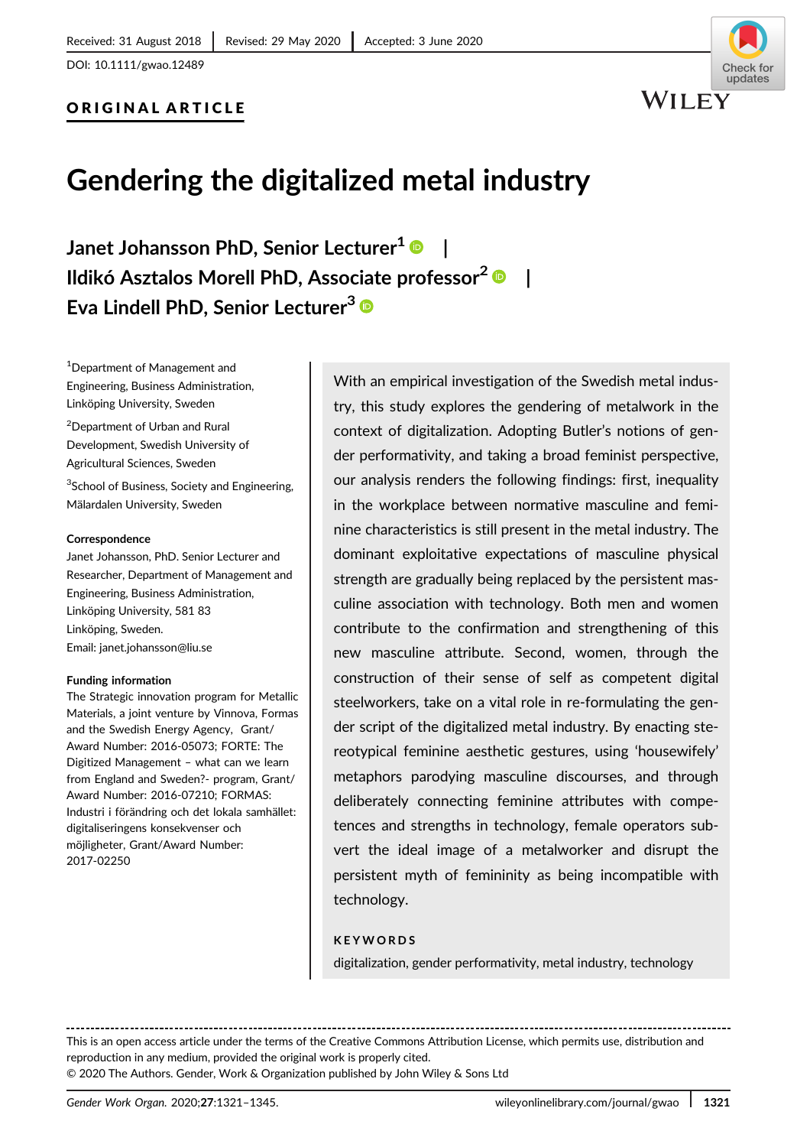DOI: 10.1111/gwao.12489

# ORIGINAL ARTICLE



# **Gendering the digitalized metal industry**

**Janet Johansson PhD, Senior Lecturer1 | Ildikó Asztalos Morell PhD, Associate professor<sup>2</sup> | Eva Lindell PhD, Senior Lecturer3**

1 Department of Management and Engineering, Business Administration, Linköping University, Sweden

2 Department of Urban and Rural Development, Swedish University of Agricultural Sciences, Sweden

<sup>3</sup>School of Business, Society and Engineering, Mälardalen University, Sweden

#### **Correspondence**

Janet Johansson, PhD. Senior Lecturer and Researcher, Department of Management and Engineering, Business Administration, Linköping University, 581 83 Linköping, Sweden. Email: janet.johansson@liu.se

#### **Funding information**

The Strategic innovation program for Metallic Materials, a joint venture by Vinnova, Formas and the Swedish Energy Agency, Grant/ Award Number: 2016-05073; FORTE: The Digitized Management – what can we learn from England and Sweden?- program, Grant/ Award Number: 2016-07210; FORMAS: Industri i förändring och det lokala samhället: digitaliseringens konsekvenser och möjligheter, Grant/Award Number: 2017-02250

With an empirical investigation of the Swedish metal industry, this study explores the gendering of metalwork in the context of digitalization. Adopting Butler's notions of gender performativity, and taking a broad feminist perspective, our analysis renders the following findings: first, inequality in the workplace between normative masculine and feminine characteristics is still present in the metal industry. The dominant exploitative expectations of masculine physical strength are gradually being replaced by the persistent masculine association with technology. Both men and women contribute to the confirmation and strengthening of this new masculine attribute. Second, women, through the construction of their sense of self as competent digital steelworkers, take on a vital role in re-formulating the gender script of the digitalized metal industry. By enacting stereotypical feminine aesthetic gestures, using 'housewifely' metaphors parodying masculine discourses, and through deliberately connecting feminine attributes with competences and strengths in technology, female operators subvert the ideal image of a metalworker and disrupt the persistent myth of femininity as being incompatible with technology.

#### **KEYWORDS**

digitalization, gender performativity, metal industry, technology

This is an open access article under the terms of the [Creative Commons Attribution](http://creativecommons.org/licenses/by/4.0/) License, which permits use, distribution and reproduction in any medium, provided the original work is properly cited. © 2020 The Authors. Gender, Work & Organization published by John Wiley & Sons Ltd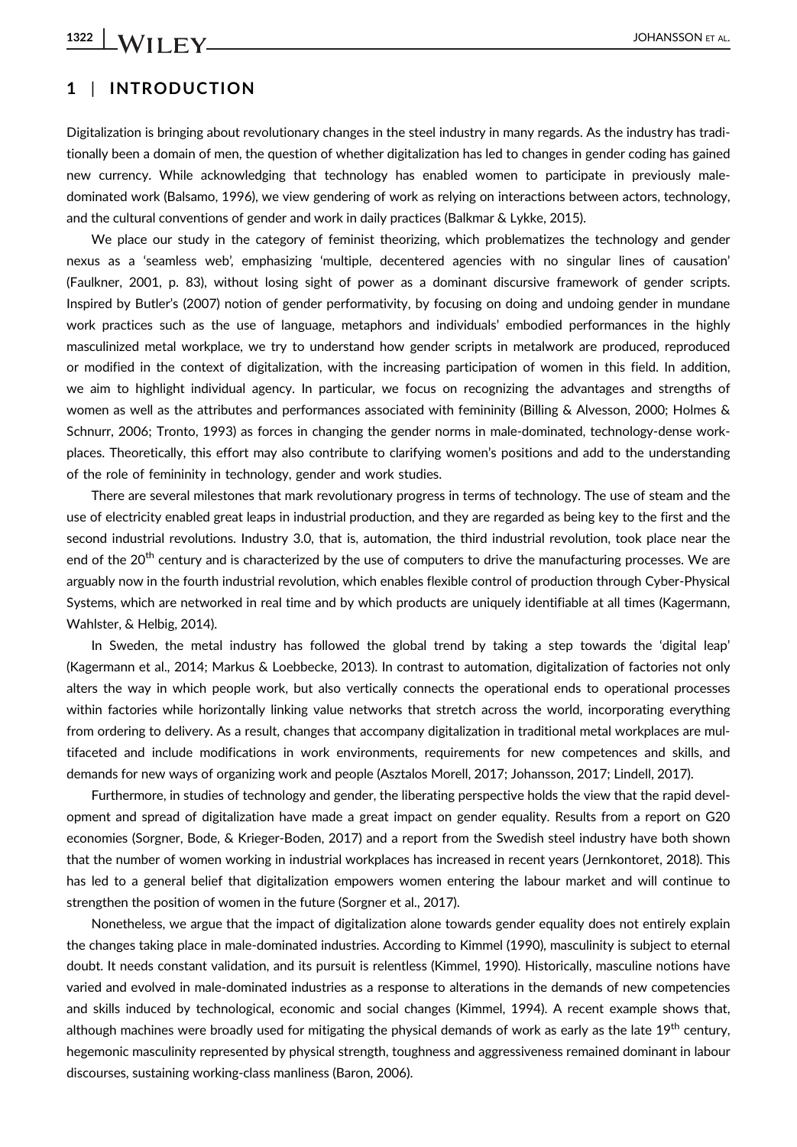# **1** | **INTRODUCTION**

Digitalization is bringing about revolutionary changes in the steel industry in many regards. As the industry has traditionally been a domain of men, the question of whether digitalization has led to changes in gender coding has gained new currency. While acknowledging that technology has enabled women to participate in previously maledominated work (Balsamo, 1996), we view gendering of work as relying on interactions between actors, technology, and the cultural conventions of gender and work in daily practices (Balkmar & Lykke, 2015).

We place our study in the category of feminist theorizing, which problematizes the technology and gender nexus as a 'seamless web', emphasizing 'multiple, decentered agencies with no singular lines of causation' (Faulkner, 2001, p. 83), without losing sight of power as a dominant discursive framework of gender scripts. Inspired by Butler's (2007) notion of gender performativity, by focusing on doing and undoing gender in mundane work practices such as the use of language, metaphors and individuals' embodied performances in the highly masculinized metal workplace, we try to understand how gender scripts in metalwork are produced, reproduced or modified in the context of digitalization, with the increasing participation of women in this field. In addition, we aim to highlight individual agency. In particular, we focus on recognizing the advantages and strengths of women as well as the attributes and performances associated with femininity (Billing & Alvesson, 2000; Holmes & Schnurr, 2006; Tronto, 1993) as forces in changing the gender norms in male-dominated, technology-dense workplaces. Theoretically, this effort may also contribute to clarifying women's positions and add to the understanding of the role of femininity in technology, gender and work studies.

There are several milestones that mark revolutionary progress in terms of technology. The use of steam and the use of electricity enabled great leaps in industrial production, and they are regarded as being key to the first and the second industrial revolutions. Industry 3.0, that is, automation, the third industrial revolution, took place near the end of the 20<sup>th</sup> century and is characterized by the use of computers to drive the manufacturing processes. We are arguably now in the fourth industrial revolution, which enables flexible control of production through Cyber-Physical Systems, which are networked in real time and by which products are uniquely identifiable at all times (Kagermann, Wahlster, & Helbig, 2014).

In Sweden, the metal industry has followed the global trend by taking a step towards the 'digital leap' (Kagermann et al., 2014; Markus & Loebbecke, 2013). In contrast to automation, digitalization of factories not only alters the way in which people work, but also vertically connects the operational ends to operational processes within factories while horizontally linking value networks that stretch across the world, incorporating everything from ordering to delivery. As a result, changes that accompany digitalization in traditional metal workplaces are multifaceted and include modifications in work environments, requirements for new competences and skills, and demands for new ways of organizing work and people (Asztalos Morell, 2017; Johansson, 2017; Lindell, 2017).

Furthermore, in studies of technology and gender, the liberating perspective holds the view that the rapid development and spread of digitalization have made a great impact on gender equality. Results from a report on G20 economies (Sorgner, Bode, & Krieger-Boden, 2017) and a report from the Swedish steel industry have both shown that the number of women working in industrial workplaces has increased in recent years (Jernkontoret, 2018). This has led to a general belief that digitalization empowers women entering the labour market and will continue to strengthen the position of women in the future (Sorgner et al., 2017).

Nonetheless, we argue that the impact of digitalization alone towards gender equality does not entirely explain the changes taking place in male-dominated industries. According to Kimmel (1990), masculinity is subject to eternal doubt. It needs constant validation, and its pursuit is relentless (Kimmel, 1990). Historically, masculine notions have varied and evolved in male-dominated industries as a response to alterations in the demands of new competencies and skills induced by technological, economic and social changes (Kimmel, 1994). A recent example shows that, although machines were broadly used for mitigating the physical demands of work as early as the late 19<sup>th</sup> century, hegemonic masculinity represented by physical strength, toughness and aggressiveness remained dominant in labour discourses, sustaining working-class manliness (Baron, 2006).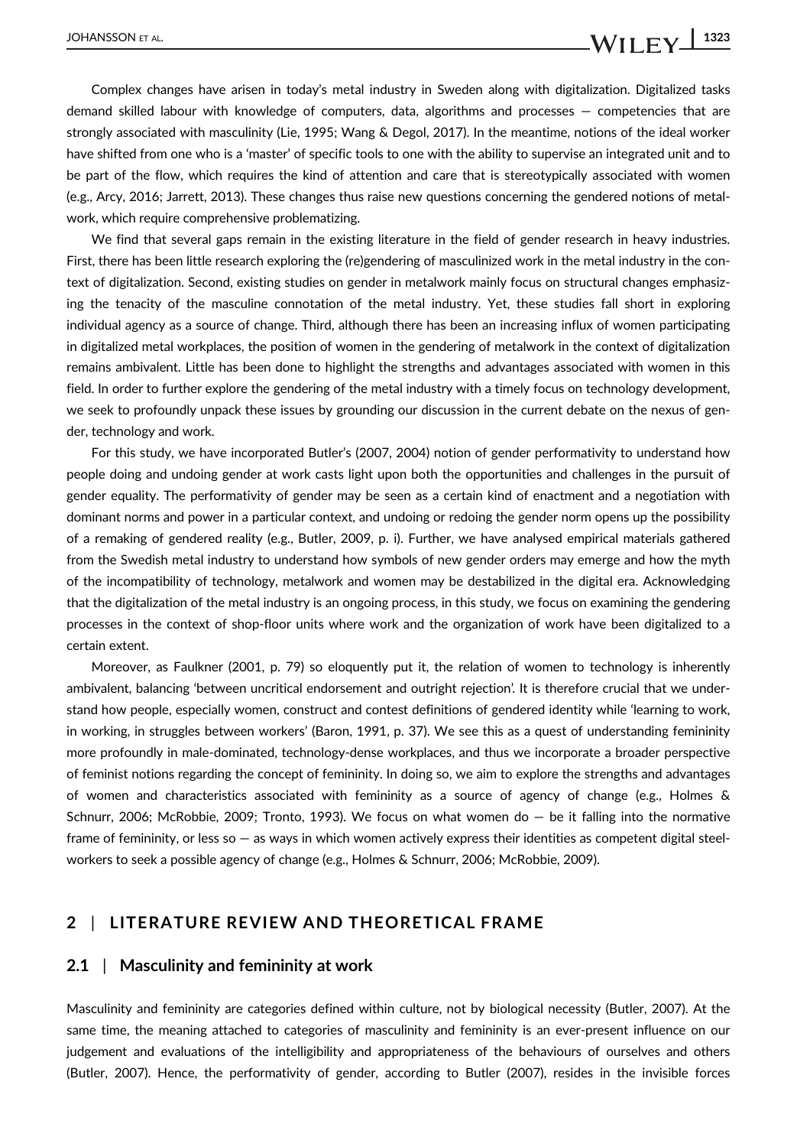Complex changes have arisen in today's metal industry in Sweden along with digitalization. Digitalized tasks demand skilled labour with knowledge of computers, data, algorithms and processes — competencies that are strongly associated with masculinity (Lie, 1995; Wang & Degol, 2017). In the meantime, notions of the ideal worker have shifted from one who is a 'master' of specific tools to one with the ability to supervise an integrated unit and to be part of the flow, which requires the kind of attention and care that is stereotypically associated with women (e.g., Arcy, 2016; Jarrett, 2013). These changes thus raise new questions concerning the gendered notions of metalwork, which require comprehensive problematizing.

We find that several gaps remain in the existing literature in the field of gender research in heavy industries. First, there has been little research exploring the (re)gendering of masculinized work in the metal industry in the context of digitalization. Second, existing studies on gender in metalwork mainly focus on structural changes emphasizing the tenacity of the masculine connotation of the metal industry. Yet, these studies fall short in exploring individual agency as a source of change. Third, although there has been an increasing influx of women participating in digitalized metal workplaces, the position of women in the gendering of metalwork in the context of digitalization remains ambivalent. Little has been done to highlight the strengths and advantages associated with women in this field. In order to further explore the gendering of the metal industry with a timely focus on technology development, we seek to profoundly unpack these issues by grounding our discussion in the current debate on the nexus of gender, technology and work.

For this study, we have incorporated Butler's (2007, 2004) notion of gender performativity to understand how people doing and undoing gender at work casts light upon both the opportunities and challenges in the pursuit of gender equality. The performativity of gender may be seen as a certain kind of enactment and a negotiation with dominant norms and power in a particular context, and undoing or redoing the gender norm opens up the possibility of a remaking of gendered reality (e.g., Butler, 2009, p. i). Further, we have analysed empirical materials gathered from the Swedish metal industry to understand how symbols of new gender orders may emerge and how the myth of the incompatibility of technology, metalwork and women may be destabilized in the digital era. Acknowledging that the digitalization of the metal industry is an ongoing process, in this study, we focus on examining the gendering processes in the context of shop-floor units where work and the organization of work have been digitalized to a certain extent.

Moreover, as Faulkner (2001, p. 79) so eloquently put it, the relation of women to technology is inherently ambivalent, balancing 'between uncritical endorsement and outright rejection'. It is therefore crucial that we understand how people, especially women, construct and contest definitions of gendered identity while 'learning to work, in working, in struggles between workers' (Baron, 1991, p. 37). We see this as a quest of understanding femininity more profoundly in male-dominated, technology-dense workplaces, and thus we incorporate a broader perspective of feminist notions regarding the concept of femininity. In doing so, we aim to explore the strengths and advantages of women and characteristics associated with femininity as a source of agency of change (e.g., Holmes & Schnurr, 2006; McRobbie, 2009; Tronto, 1993). We focus on what women do — be it falling into the normative frame of femininity, or less so - as ways in which women actively express their identities as competent digital steelworkers to seek a possible agency of change (e.g., Holmes & Schnurr, 2006; McRobbie, 2009).

# **2** | **LITERATURE REVIEW AND THEORETICAL FRAME**

## **2.1** | **Masculinity and femininity at work**

Masculinity and femininity are categories defined within culture, not by biological necessity (Butler, 2007). At the same time, the meaning attached to categories of masculinity and femininity is an ever-present influence on our judgement and evaluations of the intelligibility and appropriateness of the behaviours of ourselves and others (Butler, 2007). Hence, the performativity of gender, according to Butler (2007), resides in the invisible forces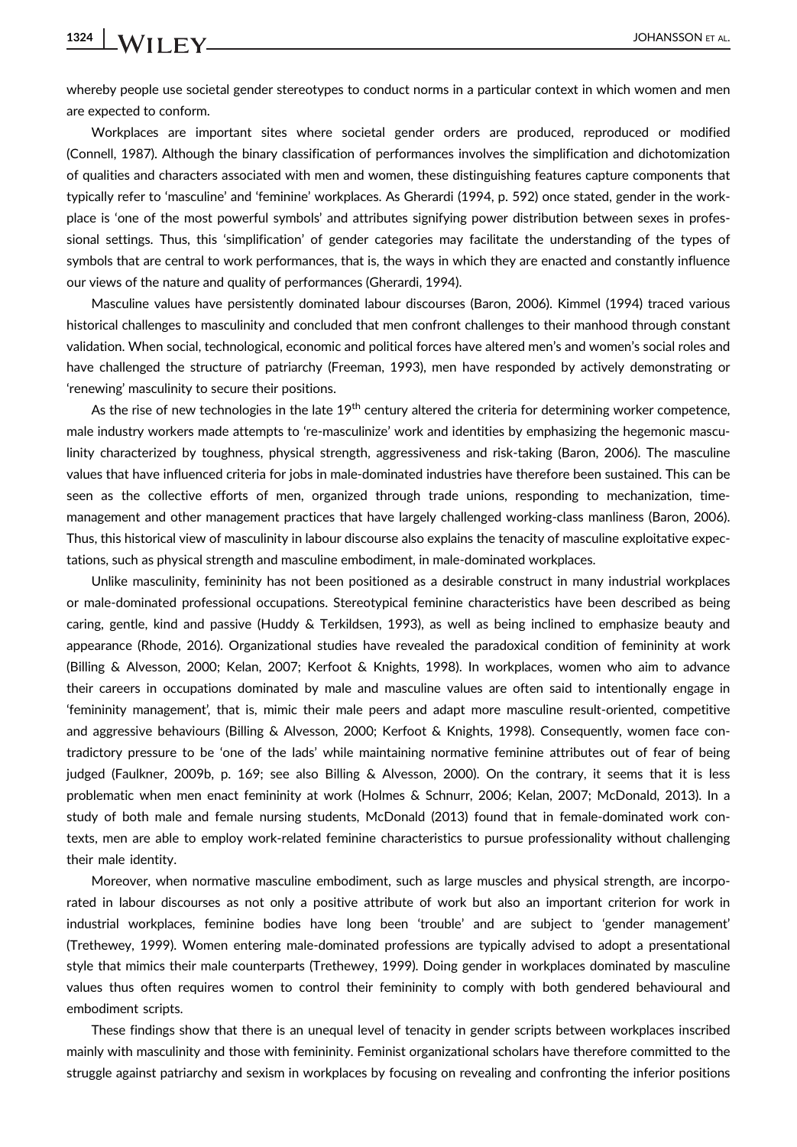whereby people use societal gender stereotypes to conduct norms in a particular context in which women and men are expected to conform.

Workplaces are important sites where societal gender orders are produced, reproduced or modified (Connell, 1987). Although the binary classification of performances involves the simplification and dichotomization of qualities and characters associated with men and women, these distinguishing features capture components that typically refer to 'masculine' and 'feminine' workplaces. As Gherardi (1994, p. 592) once stated, gender in the workplace is 'one of the most powerful symbols' and attributes signifying power distribution between sexes in professional settings. Thus, this 'simplification' of gender categories may facilitate the understanding of the types of symbols that are central to work performances, that is, the ways in which they are enacted and constantly influence our views of the nature and quality of performances (Gherardi, 1994).

Masculine values have persistently dominated labour discourses (Baron, 2006). Kimmel (1994) traced various historical challenges to masculinity and concluded that men confront challenges to their manhood through constant validation. When social, technological, economic and political forces have altered men's and women's social roles and have challenged the structure of patriarchy (Freeman, 1993), men have responded by actively demonstrating or 'renewing' masculinity to secure their positions.

As the rise of new technologies in the late  $19<sup>th</sup>$  century altered the criteria for determining worker competence, male industry workers made attempts to 're-masculinize' work and identities by emphasizing the hegemonic masculinity characterized by toughness, physical strength, aggressiveness and risk-taking (Baron, 2006). The masculine values that have influenced criteria for jobs in male-dominated industries have therefore been sustained. This can be seen as the collective efforts of men, organized through trade unions, responding to mechanization, timemanagement and other management practices that have largely challenged working-class manliness (Baron, 2006). Thus, this historical view of masculinity in labour discourse also explains the tenacity of masculine exploitative expectations, such as physical strength and masculine embodiment, in male-dominated workplaces.

Unlike masculinity, femininity has not been positioned as a desirable construct in many industrial workplaces or male-dominated professional occupations. Stereotypical feminine characteristics have been described as being caring, gentle, kind and passive (Huddy & Terkildsen, 1993), as well as being inclined to emphasize beauty and appearance (Rhode, 2016). Organizational studies have revealed the paradoxical condition of femininity at work (Billing & Alvesson, 2000; Kelan, 2007; Kerfoot & Knights, 1998). In workplaces, women who aim to advance their careers in occupations dominated by male and masculine values are often said to intentionally engage in 'femininity management', that is, mimic their male peers and adapt more masculine result-oriented, competitive and aggressive behaviours (Billing & Alvesson, 2000; Kerfoot & Knights, 1998). Consequently, women face contradictory pressure to be 'one of the lads' while maintaining normative feminine attributes out of fear of being judged (Faulkner, 2009b, p. 169; see also Billing & Alvesson, 2000). On the contrary, it seems that it is less problematic when men enact femininity at work (Holmes & Schnurr, 2006; Kelan, 2007; McDonald, 2013). In a study of both male and female nursing students, McDonald (2013) found that in female-dominated work contexts, men are able to employ work-related feminine characteristics to pursue professionality without challenging their male identity.

Moreover, when normative masculine embodiment, such as large muscles and physical strength, are incorporated in labour discourses as not only a positive attribute of work but also an important criterion for work in industrial workplaces, feminine bodies have long been 'trouble' and are subject to 'gender management' (Trethewey, 1999). Women entering male-dominated professions are typically advised to adopt a presentational style that mimics their male counterparts (Trethewey, 1999). Doing gender in workplaces dominated by masculine values thus often requires women to control their femininity to comply with both gendered behavioural and embodiment scripts.

These findings show that there is an unequal level of tenacity in gender scripts between workplaces inscribed mainly with masculinity and those with femininity. Feminist organizational scholars have therefore committed to the struggle against patriarchy and sexism in workplaces by focusing on revealing and confronting the inferior positions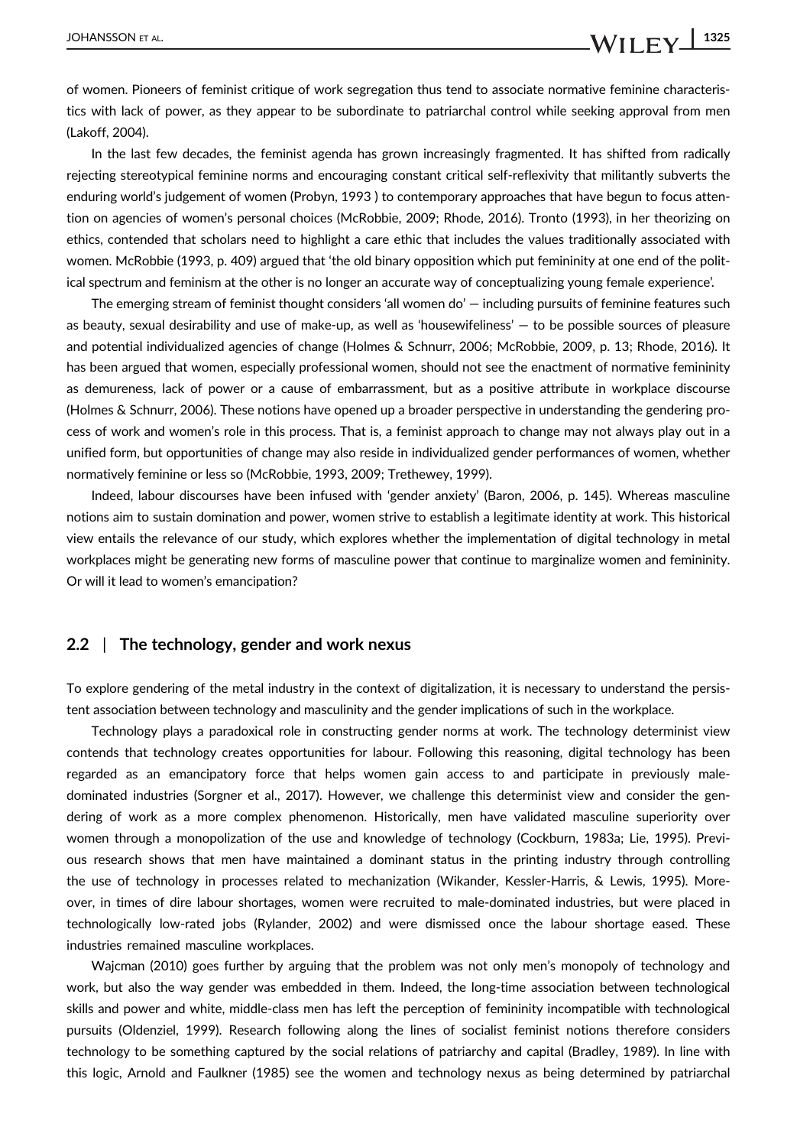of women. Pioneers of feminist critique of work segregation thus tend to associate normative feminine characteristics with lack of power, as they appear to be subordinate to patriarchal control while seeking approval from men (Lakoff, 2004).

In the last few decades, the feminist agenda has grown increasingly fragmented. It has shifted from radically rejecting stereotypical feminine norms and encouraging constant critical self-reflexivity that militantly subverts the enduring world's judgement of women (Probyn, 1993 ) to contemporary approaches that have begun to focus attention on agencies of women's personal choices (McRobbie, 2009; Rhode, 2016). Tronto (1993), in her theorizing on ethics, contended that scholars need to highlight a care ethic that includes the values traditionally associated with women. McRobbie (1993, p. 409) argued that 'the old binary opposition which put femininity at one end of the political spectrum and feminism at the other is no longer an accurate way of conceptualizing young female experience'.

The emerging stream of feminist thought considers 'all women do' — including pursuits of feminine features such as beauty, sexual desirability and use of make-up, as well as 'housewifeliness' — to be possible sources of pleasure and potential individualized agencies of change (Holmes & Schnurr, 2006; McRobbie, 2009, p. 13; Rhode, 2016). It has been argued that women, especially professional women, should not see the enactment of normative femininity as demureness, lack of power or a cause of embarrassment, but as a positive attribute in workplace discourse (Holmes & Schnurr, 2006). These notions have opened up a broader perspective in understanding the gendering process of work and women's role in this process. That is, a feminist approach to change may not always play out in a unified form, but opportunities of change may also reside in individualized gender performances of women, whether normatively feminine or less so (McRobbie, 1993, 2009; Trethewey, 1999).

Indeed, labour discourses have been infused with 'gender anxiety' (Baron, 2006, p. 145). Whereas masculine notions aim to sustain domination and power, women strive to establish a legitimate identity at work. This historical view entails the relevance of our study, which explores whether the implementation of digital technology in metal workplaces might be generating new forms of masculine power that continue to marginalize women and femininity. Or will it lead to women's emancipation?

# **2.2** | **The technology, gender and work nexus**

To explore gendering of the metal industry in the context of digitalization, it is necessary to understand the persistent association between technology and masculinity and the gender implications of such in the workplace.

Technology plays a paradoxical role in constructing gender norms at work. The technology determinist view contends that technology creates opportunities for labour. Following this reasoning, digital technology has been regarded as an emancipatory force that helps women gain access to and participate in previously maledominated industries (Sorgner et al., 2017). However, we challenge this determinist view and consider the gendering of work as a more complex phenomenon. Historically, men have validated masculine superiority over women through a monopolization of the use and knowledge of technology (Cockburn, 1983a; Lie, 1995). Previous research shows that men have maintained a dominant status in the printing industry through controlling the use of technology in processes related to mechanization (Wikander, Kessler-Harris, & Lewis, 1995). Moreover, in times of dire labour shortages, women were recruited to male-dominated industries, but were placed in technologically low-rated jobs (Rylander, 2002) and were dismissed once the labour shortage eased. These industries remained masculine workplaces.

Wajcman (2010) goes further by arguing that the problem was not only men's monopoly of technology and work, but also the way gender was embedded in them. Indeed, the long-time association between technological skills and power and white, middle-class men has left the perception of femininity incompatible with technological pursuits (Oldenziel, 1999). Research following along the lines of socialist feminist notions therefore considers technology to be something captured by the social relations of patriarchy and capital (Bradley, 1989). In line with this logic, Arnold and Faulkner (1985) see the women and technology nexus as being determined by patriarchal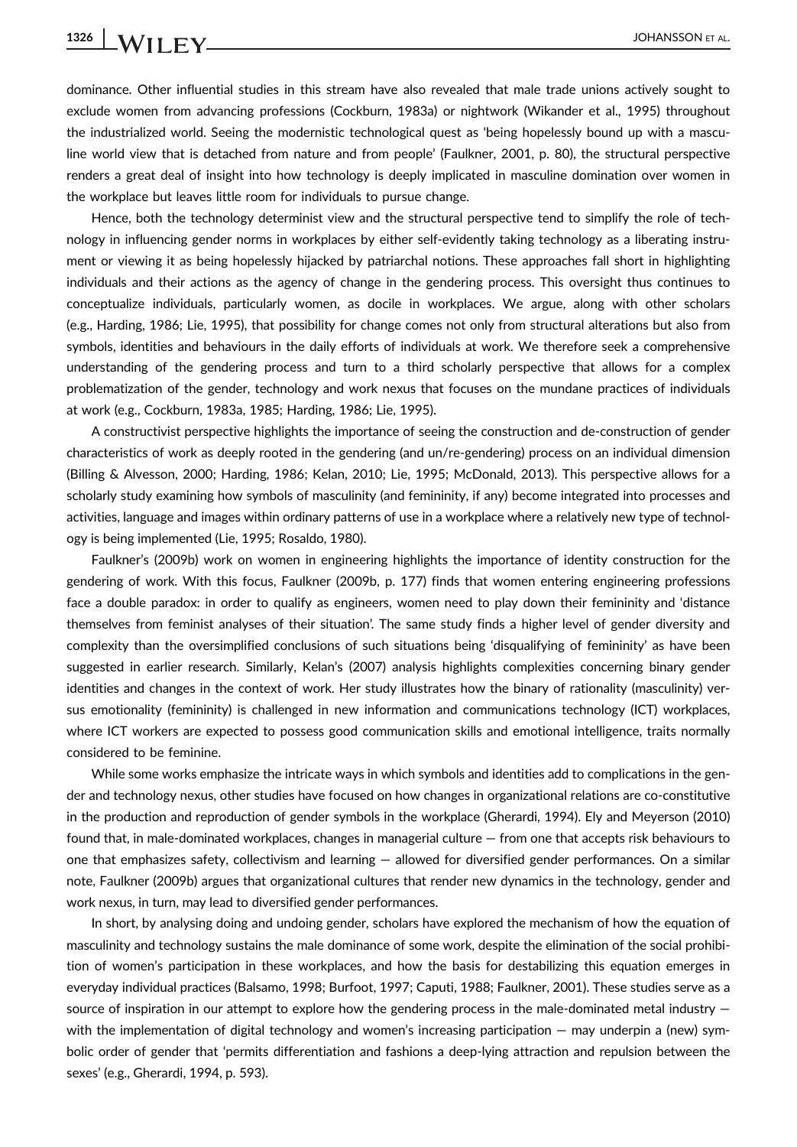dominance. Other influential studies in this stream have also revealed that male trade unions actively sought to exclude women from advancing professions (Cockburn, 1983a) or nightwork (Wikander et al., 1995) throughout the industrialized world. Seeing the modernistic technological quest as 'being hopelessly bound up with a masculine world view that is detached from nature and from people' (Faulkner, 2001, p. 80), the structural perspective renders a great deal of insight into how technology is deeply implicated in masculine domination over women in the workplace but leaves little room for individuals to pursue change.

Hence, both the technology determinist view and the structural perspective tend to simplify the role of technology in influencing gender norms in workplaces by either self-evidently taking technology as a liberating instrument or viewing it as being hopelessly hijacked by patriarchal notions. These approaches fall short in highlighting individuals and their actions as the agency of change in the gendering process. This oversight thus continues to conceptualize individuals, particularly women, as docile in workplaces. We argue, along with other scholars (e.g., Harding, 1986; Lie, 1995), that possibility for change comes not only from structural alterations but also from symbols, identities and behaviours in the daily efforts of individuals at work. We therefore seek a comprehensive understanding of the gendering process and turn to a third scholarly perspective that allows for a complex problematization of the gender, technology and work nexus that focuses on the mundane practices of individuals at work (e.g., Cockburn, 1983a, 1985; Harding, 1986; Lie, 1995).

A constructivist perspective highlights the importance of seeing the construction and de-construction of gender characteristics of work as deeply rooted in the gendering (and un/re-gendering) process on an individual dimension (Billing & Alvesson, 2000; Harding, 1986; Kelan, 2010; Lie, 1995; McDonald, 2013). This perspective allows for a scholarly study examining how symbols of masculinity (and femininity, if any) become integrated into processes and activities, language and images within ordinary patterns of use in a workplace where a relatively new type of technology is being implemented (Lie, 1995; Rosaldo, 1980).

Faulkner's (2009b) work on women in engineering highlights the importance of identity construction for the gendering of work. With this focus, Faulkner (2009b, p. 177) finds that women entering engineering professions face a double paradox: in order to qualify as engineers, women need to play down their femininity and 'distance themselves from feminist analyses of their situation'. The same study finds a higher level of gender diversity and complexity than the oversimplified conclusions of such situations being 'disqualifying of femininity' as have been suggested in earlier research. Similarly, Kelan's (2007) analysis highlights complexities concerning binary gender identities and changes in the context of work. Her study illustrates how the binary of rationality (masculinity) versus emotionality (femininity) is challenged in new information and communications technology (ICT) workplaces, where ICT workers are expected to possess good communication skills and emotional intelligence, traits normally considered to be feminine.

While some works emphasize the intricate ways in which symbols and identities add to complications in the gender and technology nexus, other studies have focused on how changes in organizational relations are co-constitutive in the production and reproduction of gender symbols in the workplace (Gherardi, 1994). Ely and Meyerson (2010) found that, in male-dominated workplaces, changes in managerial culture — from one that accepts risk behaviours to one that emphasizes safety, collectivism and learning — allowed for diversified gender performances. On a similar note, Faulkner (2009b) argues that organizational cultures that render new dynamics in the technology, gender and work nexus, in turn, may lead to diversified gender performances.

In short, by analysing doing and undoing gender, scholars have explored the mechanism of how the equation of masculinity and technology sustains the male dominance of some work, despite the elimination of the social prohibition of women's participation in these workplaces, and how the basis for destabilizing this equation emerges in everyday individual practices (Balsamo, 1998; Burfoot, 1997; Caputi, 1988; Faulkner, 2001). These studies serve as a source of inspiration in our attempt to explore how the gendering process in the male-dominated metal industry  $$ with the implementation of digital technology and women's increasing participation — may underpin a (new) symbolic order of gender that 'permits differentiation and fashions a deep-lying attraction and repulsion between the sexes' (e.g., Gherardi, 1994, p. 593).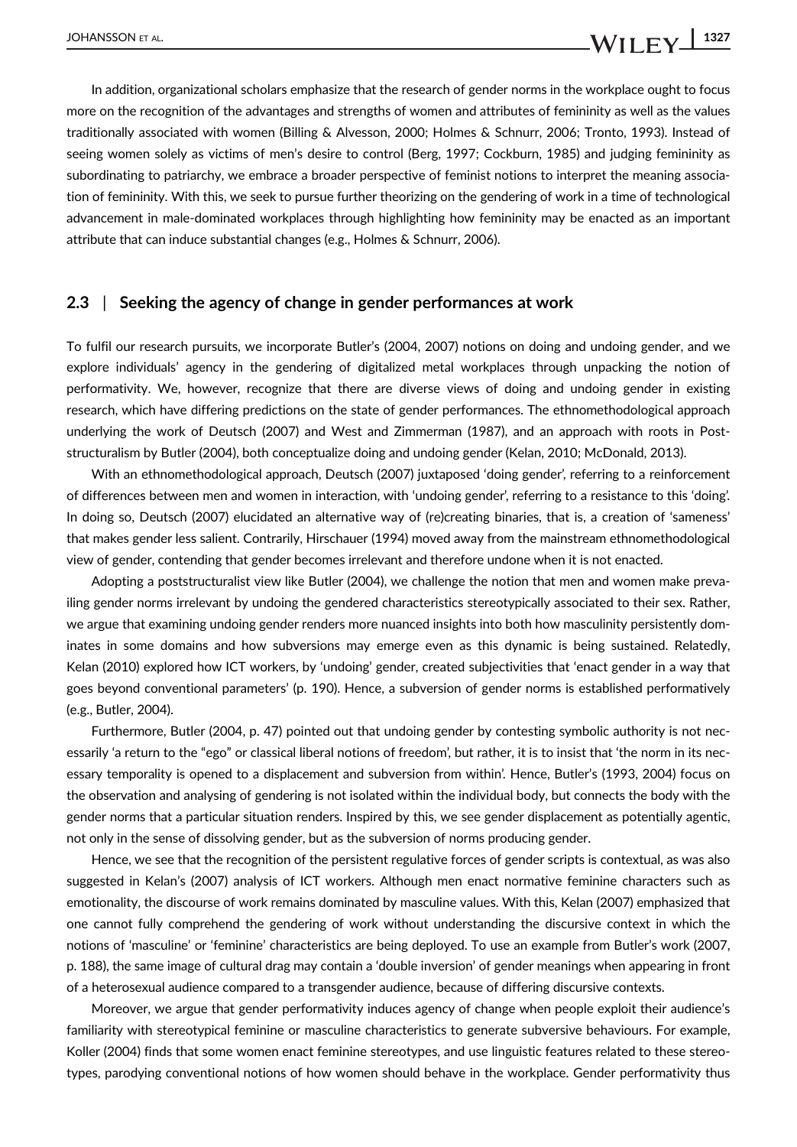In addition, organizational scholars emphasize that the research of gender norms in the workplace ought to focus more on the recognition of the advantages and strengths of women and attributes of femininity as well as the values traditionally associated with women (Billing & Alvesson, 2000; Holmes & Schnurr, 2006; Tronto, 1993). Instead of seeing women solely as victims of men's desire to control (Berg, 1997; Cockburn, 1985) and judging femininity as subordinating to patriarchy, we embrace a broader perspective of feminist notions to interpret the meaning association of femininity. With this, we seek to pursue further theorizing on the gendering of work in a time of technological advancement in male-dominated workplaces through highlighting how femininity may be enacted as an important attribute that can induce substantial changes (e.g., Holmes & Schnurr, 2006).

### **2.3** | **Seeking the agency of change in gender performances at work**

To fulfil our research pursuits, we incorporate Butler's (2004, 2007) notions on doing and undoing gender, and we explore individuals' agency in the gendering of digitalized metal workplaces through unpacking the notion of performativity. We, however, recognize that there are diverse views of doing and undoing gender in existing research, which have differing predictions on the state of gender performances. The ethnomethodological approach underlying the work of Deutsch (2007) and West and Zimmerman (1987), and an approach with roots in Poststructuralism by Butler (2004), both conceptualize doing and undoing gender (Kelan, 2010; McDonald, 2013).

With an ethnomethodological approach, Deutsch (2007) juxtaposed 'doing gender', referring to a reinforcement of differences between men and women in interaction, with 'undoing gender', referring to a resistance to this 'doing'. In doing so, Deutsch (2007) elucidated an alternative way of (re)creating binaries, that is, a creation of 'sameness' that makes gender less salient. Contrarily, Hirschauer (1994) moved away from the mainstream ethnomethodological view of gender, contending that gender becomes irrelevant and therefore undone when it is not enacted.

Adopting a poststructuralist view like Butler (2004), we challenge the notion that men and women make prevailing gender norms irrelevant by undoing the gendered characteristics stereotypically associated to their sex. Rather, we argue that examining undoing gender renders more nuanced insights into both how masculinity persistently dominates in some domains and how subversions may emerge even as this dynamic is being sustained. Relatedly, Kelan (2010) explored how ICT workers, by 'undoing' gender, created subjectivities that 'enact gender in a way that goes beyond conventional parameters' (p. 190). Hence, a subversion of gender norms is established performatively (e.g., Butler, 2004).

Furthermore, Butler (2004, p. 47) pointed out that undoing gender by contesting symbolic authority is not necessarily 'a return to the "ego" or classical liberal notions of freedom', but rather, it is to insist that 'the norm in its necessary temporality is opened to a displacement and subversion from within'. Hence, Butler's (1993, 2004) focus on the observation and analysing of gendering is not isolated within the individual body, but connects the body with the gender norms that a particular situation renders. Inspired by this, we see gender displacement as potentially agentic, not only in the sense of dissolving gender, but as the subversion of norms producing gender.

Hence, we see that the recognition of the persistent regulative forces of gender scripts is contextual, as was also suggested in Kelan's (2007) analysis of ICT workers. Although men enact normative feminine characters such as emotionality, the discourse of work remains dominated by masculine values. With this, Kelan (2007) emphasized that one cannot fully comprehend the gendering of work without understanding the discursive context in which the notions of 'masculine' or 'feminine' characteristics are being deployed. To use an example from Butler's work (2007, p. 188), the same image of cultural drag may contain a 'double inversion' of gender meanings when appearing in front of a heterosexual audience compared to a transgender audience, because of differing discursive contexts.

Moreover, we argue that gender performativity induces agency of change when people exploit their audience's familiarity with stereotypical feminine or masculine characteristics to generate subversive behaviours. For example, Koller (2004) finds that some women enact feminine stereotypes, and use linguistic features related to these stereotypes, parodying conventional notions of how women should behave in the workplace. Gender performativity thus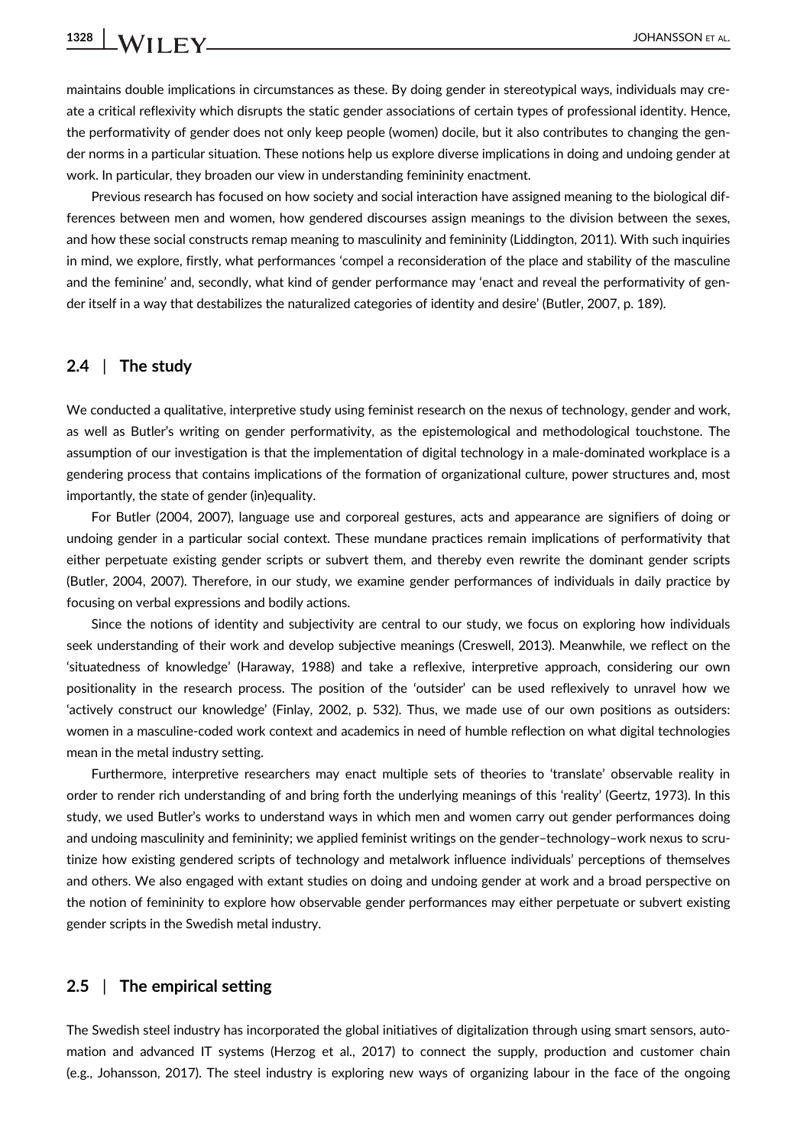maintains double implications in circumstances as these. By doing gender in stereotypical ways, individuals may create a critical reflexivity which disrupts the static gender associations of certain types of professional identity. Hence, the performativity of gender does not only keep people (women) docile, but it also contributes to changing the gender norms in a particular situation. These notions help us explore diverse implications in doing and undoing gender at work. In particular, they broaden our view in understanding femininity enactment.

Previous research has focused on how society and social interaction have assigned meaning to the biological differences between men and women, how gendered discourses assign meanings to the division between the sexes, and how these social constructs remap meaning to masculinity and femininity (Liddington, 2011). With such inquiries in mind, we explore, firstly, what performances 'compel a reconsideration of the place and stability of the masculine and the feminine' and, secondly, what kind of gender performance may 'enact and reveal the performativity of gender itself in a way that destabilizes the naturalized categories of identity and desire' (Butler, 2007, p. 189).

## **2.4** | **The study**

We conducted a qualitative, interpretive study using feminist research on the nexus of technology, gender and work, as well as Butler's writing on gender performativity, as the epistemological and methodological touchstone. The assumption of our investigation is that the implementation of digital technology in a male-dominated workplace is a gendering process that contains implications of the formation of organizational culture, power structures and, most importantly, the state of gender (in)equality.

For Butler (2004, 2007), language use and corporeal gestures, acts and appearance are signifiers of doing or undoing gender in a particular social context. These mundane practices remain implications of performativity that either perpetuate existing gender scripts or subvert them, and thereby even rewrite the dominant gender scripts (Butler, 2004, 2007). Therefore, in our study, we examine gender performances of individuals in daily practice by focusing on verbal expressions and bodily actions.

Since the notions of identity and subjectivity are central to our study, we focus on exploring how individuals seek understanding of their work and develop subjective meanings (Creswell, 2013). Meanwhile, we reflect on the 'situatedness of knowledge' (Haraway, 1988) and take a reflexive, interpretive approach, considering our own positionality in the research process. The position of the 'outsider' can be used reflexively to unravel how we 'actively construct our knowledge' (Finlay, 2002, p. 532). Thus, we made use of our own positions as outsiders: women in a masculine-coded work context and academics in need of humble reflection on what digital technologies mean in the metal industry setting.

Furthermore, interpretive researchers may enact multiple sets of theories to 'translate' observable reality in order to render rich understanding of and bring forth the underlying meanings of this 'reality' (Geertz, 1973). In this study, we used Butler's works to understand ways in which men and women carry out gender performances doing and undoing masculinity and femininity; we applied feminist writings on the gender–technology–work nexus to scrutinize how existing gendered scripts of technology and metalwork influence individuals' perceptions of themselves and others. We also engaged with extant studies on doing and undoing gender at work and a broad perspective on the notion of femininity to explore how observable gender performances may either perpetuate or subvert existing gender scripts in the Swedish metal industry.

## **2.5** | **The empirical setting**

The Swedish steel industry has incorporated the global initiatives of digitalization through using smart sensors, automation and advanced IT systems (Herzog et al., 2017) to connect the supply, production and customer chain (e.g., Johansson, 2017). The steel industry is exploring new ways of organizing labour in the face of the ongoing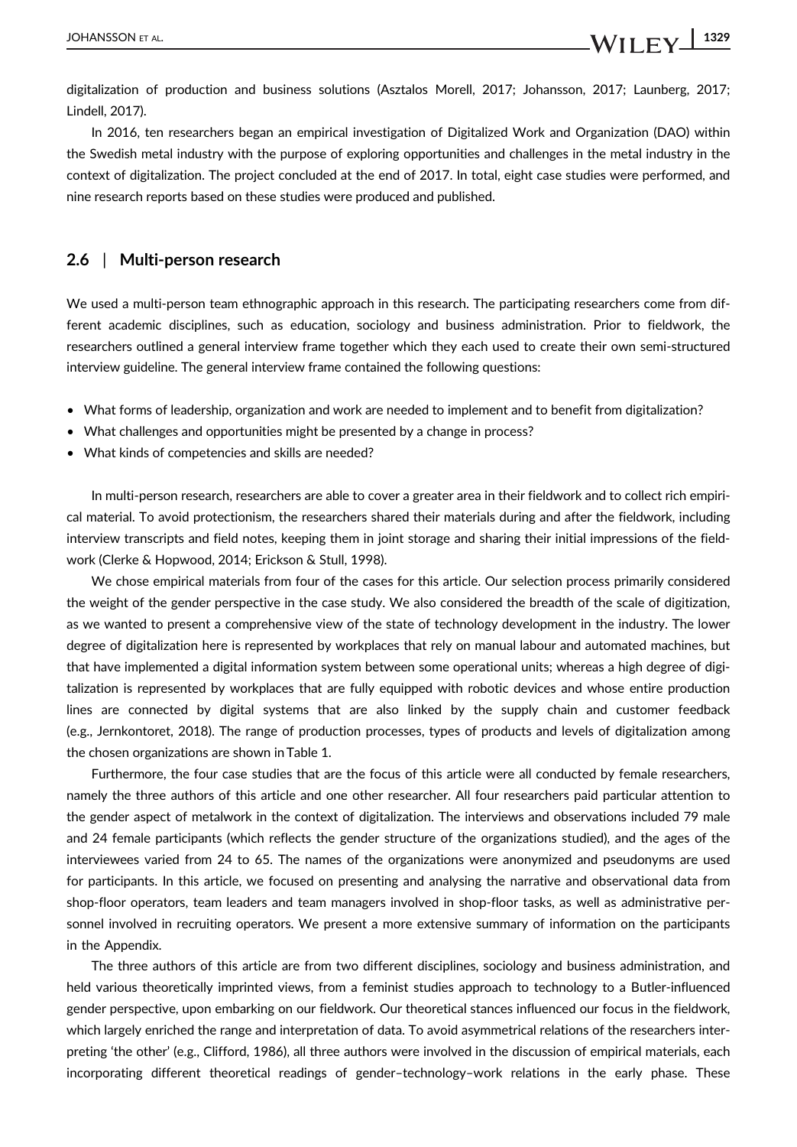digitalization of production and business solutions (Asztalos Morell, 2017; Johansson, 2017; Launberg, 2017; Lindell, 2017).

In 2016, ten researchers began an empirical investigation of Digitalized Work and Organization (DAO) within the Swedish metal industry with the purpose of exploring opportunities and challenges in the metal industry in the context of digitalization. The project concluded at the end of 2017. In total, eight case studies were performed, and nine research reports based on these studies were produced and published.

### **2.6** | **Multi-person research**

We used a multi-person team ethnographic approach in this research. The participating researchers come from different academic disciplines, such as education, sociology and business administration. Prior to fieldwork, the researchers outlined a general interview frame together which they each used to create their own semi-structured interview guideline. The general interview frame contained the following questions:

- What forms of leadership, organization and work are needed to implement and to benefit from digitalization?
- What challenges and opportunities might be presented by a change in process?
- What kinds of competencies and skills are needed?

In multi-person research, researchers are able to cover a greater area in their fieldwork and to collect rich empirical material. To avoid protectionism, the researchers shared their materials during and after the fieldwork, including interview transcripts and field notes, keeping them in joint storage and sharing their initial impressions of the fieldwork (Clerke & Hopwood, 2014; Erickson & Stull, 1998).

We chose empirical materials from four of the cases for this article. Our selection process primarily considered the weight of the gender perspective in the case study. We also considered the breadth of the scale of digitization, as we wanted to present a comprehensive view of the state of technology development in the industry. The lower degree of digitalization here is represented by workplaces that rely on manual labour and automated machines, but that have implemented a digital information system between some operational units; whereas a high degree of digitalization is represented by workplaces that are fully equipped with robotic devices and whose entire production lines are connected by digital systems that are also linked by the supply chain and customer feedback (e.g., Jernkontoret, 2018). The range of production processes, types of products and levels of digitalization among the chosen organizations are shown in Table 1.

Furthermore, the four case studies that are the focus of this article were all conducted by female researchers, namely the three authors of this article and one other researcher. All four researchers paid particular attention to the gender aspect of metalwork in the context of digitalization. The interviews and observations included 79 male and 24 female participants (which reflects the gender structure of the organizations studied), and the ages of the interviewees varied from 24 to 65. The names of the organizations were anonymized and pseudonyms are used for participants. In this article, we focused on presenting and analysing the narrative and observational data from shop-floor operators, team leaders and team managers involved in shop-floor tasks, as well as administrative personnel involved in recruiting operators. We present a more extensive summary of information on the participants in the Appendix.

The three authors of this article are from two different disciplines, sociology and business administration, and held various theoretically imprinted views, from a feminist studies approach to technology to a Butler-influenced gender perspective, upon embarking on our fieldwork. Our theoretical stances influenced our focus in the fieldwork, which largely enriched the range and interpretation of data. To avoid asymmetrical relations of the researchers interpreting 'the other' (e.g., Clifford, 1986), all three authors were involved in the discussion of empirical materials, each incorporating different theoretical readings of gender–technology–work relations in the early phase. These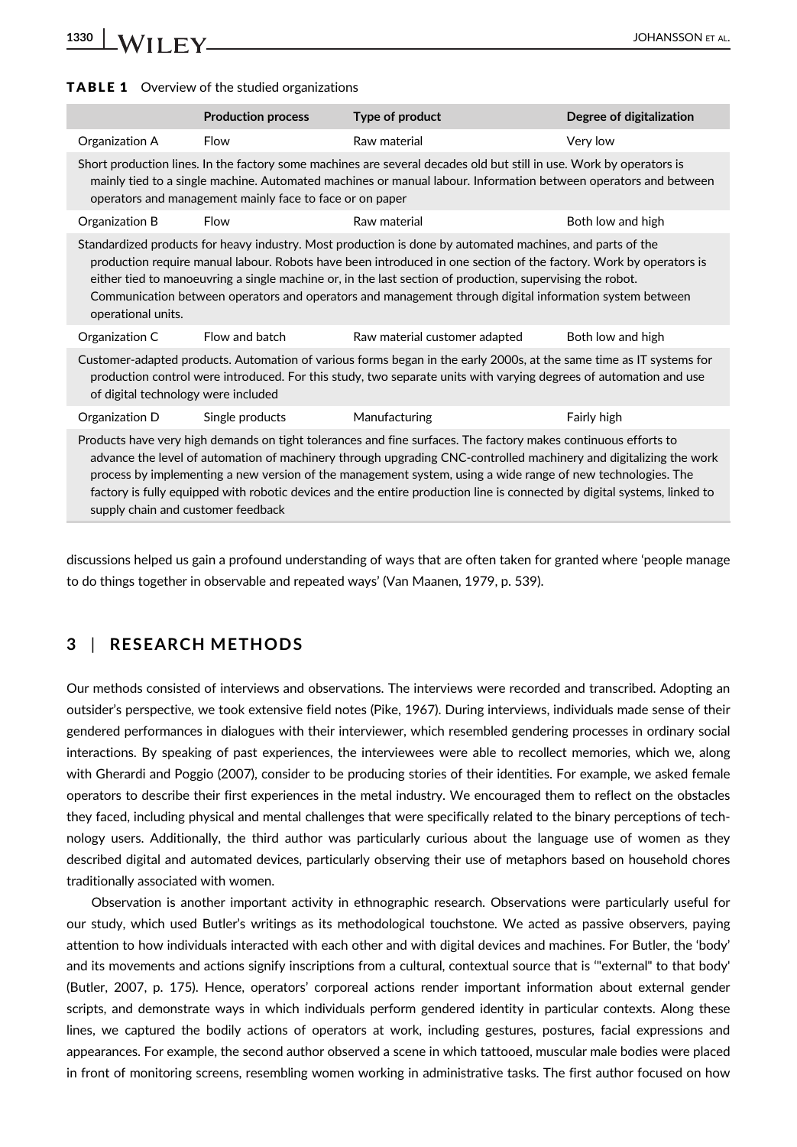#### TABLE 1 Overview of the studied organizations

|                                                                                                                                                                                                                                                                                                                                                                                                                                                                                                                      | <b>Production process</b> | Type of product               | Degree of digitalization |  |  |  |
|----------------------------------------------------------------------------------------------------------------------------------------------------------------------------------------------------------------------------------------------------------------------------------------------------------------------------------------------------------------------------------------------------------------------------------------------------------------------------------------------------------------------|---------------------------|-------------------------------|--------------------------|--|--|--|
| Organization A                                                                                                                                                                                                                                                                                                                                                                                                                                                                                                       | Flow                      | Raw material                  | Very low                 |  |  |  |
| Short production lines. In the factory some machines are several decades old but still in use. Work by operators is<br>mainly tied to a single machine. Automated machines or manual labour. Information between operators and between<br>operators and management mainly face to face or on paper                                                                                                                                                                                                                   |                           |                               |                          |  |  |  |
| Organization B                                                                                                                                                                                                                                                                                                                                                                                                                                                                                                       | Flow                      | Raw material                  | Both low and high        |  |  |  |
| Standardized products for heavy industry. Most production is done by automated machines, and parts of the<br>production require manual labour. Robots have been introduced in one section of the factory. Work by operators is<br>either tied to manoeuvring a single machine or, in the last section of production, supervising the robot.<br>Communication between operators and operators and management through digital information system between<br>operational units.                                         |                           |                               |                          |  |  |  |
| Organization C                                                                                                                                                                                                                                                                                                                                                                                                                                                                                                       | Flow and batch            | Raw material customer adapted | Both low and high        |  |  |  |
| Customer-adapted products. Automation of various forms began in the early 2000s, at the same time as IT systems for<br>production control were introduced. For this study, two separate units with varying degrees of automation and use<br>of digital technology were included                                                                                                                                                                                                                                      |                           |                               |                          |  |  |  |
| Organization D                                                                                                                                                                                                                                                                                                                                                                                                                                                                                                       | Single products           | Manufacturing                 | Fairly high              |  |  |  |
| Products have very high demands on tight tolerances and fine surfaces. The factory makes continuous efforts to<br>advance the level of automation of machinery through upgrading CNC-controlled machinery and digitalizing the work<br>process by implementing a new version of the management system, using a wide range of new technologies. The<br>factory is fully equipped with robotic devices and the entire production line is connected by digital systems, linked to<br>supply chain and customer feedback |                           |                               |                          |  |  |  |

discussions helped us gain a profound understanding of ways that are often taken for granted where 'people manage to do things together in observable and repeated ways' (Van Maanen, 1979, p. 539).

# **3** | **RESEARCH METHODS**

Our methods consisted of interviews and observations. The interviews were recorded and transcribed. Adopting an outsider's perspective, we took extensive field notes (Pike, 1967). During interviews, individuals made sense of their gendered performances in dialogues with their interviewer, which resembled gendering processes in ordinary social interactions. By speaking of past experiences, the interviewees were able to recollect memories, which we, along with Gherardi and Poggio (2007), consider to be producing stories of their identities. For example, we asked female operators to describe their first experiences in the metal industry. We encouraged them to reflect on the obstacles they faced, including physical and mental challenges that were specifically related to the binary perceptions of technology users. Additionally, the third author was particularly curious about the language use of women as they described digital and automated devices, particularly observing their use of metaphors based on household chores traditionally associated with women.

Observation is another important activity in ethnographic research. Observations were particularly useful for our study, which used Butler's writings as its methodological touchstone. We acted as passive observers, paying attention to how individuals interacted with each other and with digital devices and machines. For Butler, the 'body' and its movements and actions signify inscriptions from a cultural, contextual source that is '"external" to that body' (Butler, 2007, p. 175). Hence, operators' corporeal actions render important information about external gender scripts, and demonstrate ways in which individuals perform gendered identity in particular contexts. Along these lines, we captured the bodily actions of operators at work, including gestures, postures, facial expressions and appearances. For example, the second author observed a scene in which tattooed, muscular male bodies were placed in front of monitoring screens, resembling women working in administrative tasks. The first author focused on how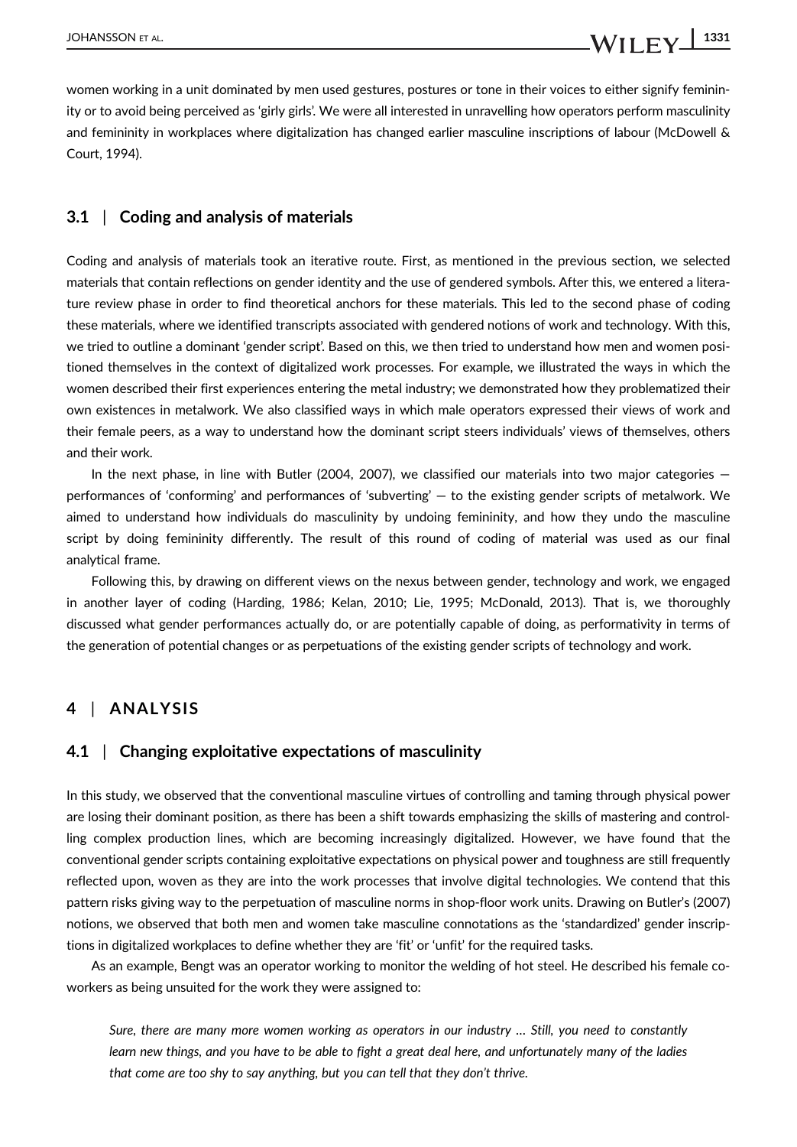women working in a unit dominated by men used gestures, postures or tone in their voices to either signify femininity or to avoid being perceived as 'girly girls'. We were all interested in unravelling how operators perform masculinity and femininity in workplaces where digitalization has changed earlier masculine inscriptions of labour (McDowell & Court, 1994).

# **3.1** | **Coding and analysis of materials**

Coding and analysis of materials took an iterative route. First, as mentioned in the previous section, we selected materials that contain reflections on gender identity and the use of gendered symbols. After this, we entered a literature review phase in order to find theoretical anchors for these materials. This led to the second phase of coding these materials, where we identified transcripts associated with gendered notions of work and technology. With this, we tried to outline a dominant 'gender script'. Based on this, we then tried to understand how men and women positioned themselves in the context of digitalized work processes. For example, we illustrated the ways in which the women described their first experiences entering the metal industry; we demonstrated how they problematized their own existences in metalwork. We also classified ways in which male operators expressed their views of work and their female peers, as a way to understand how the dominant script steers individuals' views of themselves, others and their work.

In the next phase, in line with Butler (2004, 2007), we classified our materials into two major categories performances of 'conforming' and performances of 'subverting' — to the existing gender scripts of metalwork. We aimed to understand how individuals do masculinity by undoing femininity, and how they undo the masculine script by doing femininity differently. The result of this round of coding of material was used as our final analytical frame.

Following this, by drawing on different views on the nexus between gender, technology and work, we engaged in another layer of coding (Harding, 1986; Kelan, 2010; Lie, 1995; McDonald, 2013). That is, we thoroughly discussed what gender performances actually do, or are potentially capable of doing, as performativity in terms of the generation of potential changes or as perpetuations of the existing gender scripts of technology and work.

# **4** | **ANALYSIS**

### **4.1** | **Changing exploitative expectations of masculinity**

In this study, we observed that the conventional masculine virtues of controlling and taming through physical power are losing their dominant position, as there has been a shift towards emphasizing the skills of mastering and controlling complex production lines, which are becoming increasingly digitalized. However, we have found that the conventional gender scripts containing exploitative expectations on physical power and toughness are still frequently reflected upon, woven as they are into the work processes that involve digital technologies. We contend that this pattern risks giving way to the perpetuation of masculine norms in shop-floor work units. Drawing on Butler's (2007) notions, we observed that both men and women take masculine connotations as the 'standardized' gender inscriptions in digitalized workplaces to define whether they are 'fit' or 'unfit' for the required tasks.

As an example, Bengt was an operator working to monitor the welding of hot steel. He described his female coworkers as being unsuited for the work they were assigned to:

*Sure, there are many more women working as operators in our industry … Still, you need to constantly learn new things, and you have to be able to fight a great deal here, and unfortunately many of the ladies that come are too shy to say anything, but you can tell that they don't thrive.*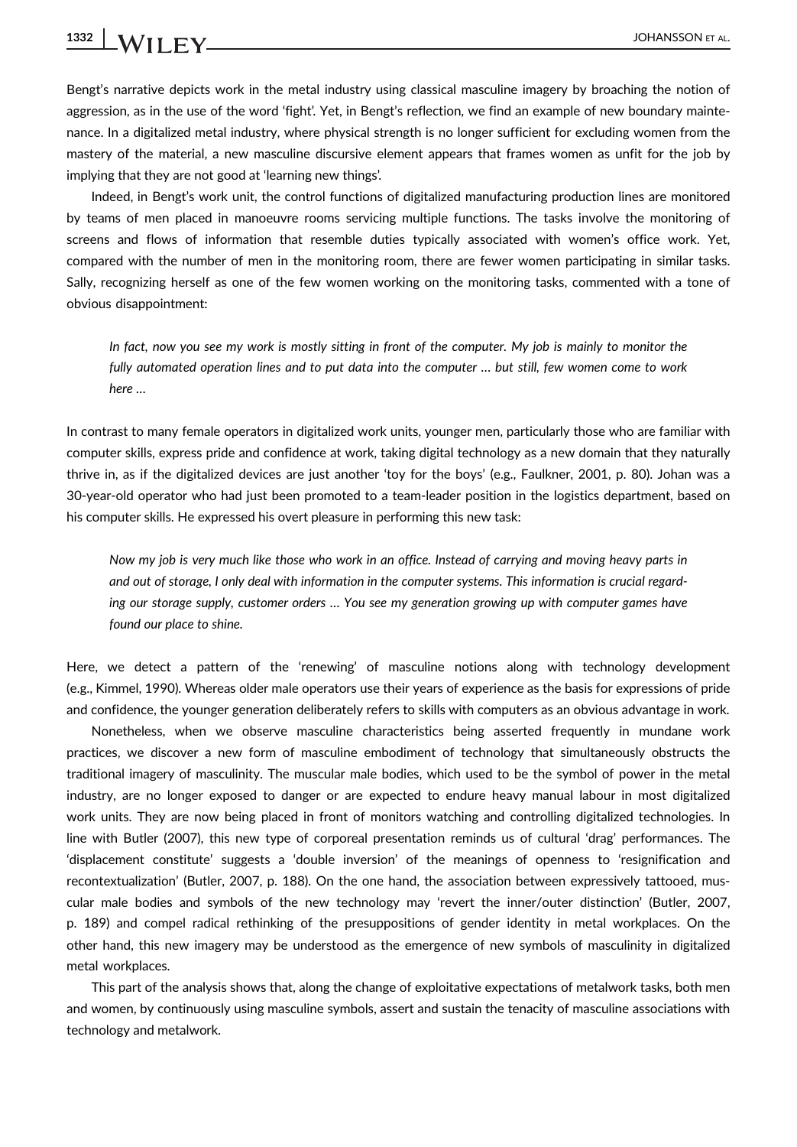Bengt's narrative depicts work in the metal industry using classical masculine imagery by broaching the notion of aggression, as in the use of the word 'fight'. Yet, in Bengt's reflection, we find an example of new boundary maintenance. In a digitalized metal industry, where physical strength is no longer sufficient for excluding women from the mastery of the material, a new masculine discursive element appears that frames women as unfit for the job by implying that they are not good at 'learning new things'.

Indeed, in Bengt's work unit, the control functions of digitalized manufacturing production lines are monitored by teams of men placed in manoeuvre rooms servicing multiple functions. The tasks involve the monitoring of screens and flows of information that resemble duties typically associated with women's office work. Yet, compared with the number of men in the monitoring room, there are fewer women participating in similar tasks. Sally, recognizing herself as one of the few women working on the monitoring tasks, commented with a tone of obvious disappointment:

*In fact, now you see my work is mostly sitting in front of the computer. My job is mainly to monitor the fully automated operation lines and to put data into the computer … but still, few women come to work here …*

In contrast to many female operators in digitalized work units, younger men, particularly those who are familiar with computer skills, express pride and confidence at work, taking digital technology as a new domain that they naturally thrive in, as if the digitalized devices are just another 'toy for the boys' (e.g., Faulkner, 2001, p. 80). Johan was a 30-year-old operator who had just been promoted to a team-leader position in the logistics department, based on his computer skills. He expressed his overt pleasure in performing this new task:

*Now my job is very much like those who work in an office. Instead of carrying and moving heavy parts in and out of storage, I only deal with information in the computer systems. This information is crucial regarding our storage supply, customer orders … You see my generation growing up with computer games have found our place to shine.*

Here, we detect a pattern of the 'renewing' of masculine notions along with technology development (e.g., Kimmel, 1990). Whereas older male operators use their years of experience as the basis for expressions of pride and confidence, the younger generation deliberately refers to skills with computers as an obvious advantage in work.

Nonetheless, when we observe masculine characteristics being asserted frequently in mundane work practices, we discover a new form of masculine embodiment of technology that simultaneously obstructs the traditional imagery of masculinity. The muscular male bodies, which used to be the symbol of power in the metal industry, are no longer exposed to danger or are expected to endure heavy manual labour in most digitalized work units. They are now being placed in front of monitors watching and controlling digitalized technologies. In line with Butler (2007), this new type of corporeal presentation reminds us of cultural 'drag' performances. The 'displacement constitute' suggests a 'double inversion' of the meanings of openness to 'resignification and recontextualization' (Butler, 2007, p. 188). On the one hand, the association between expressively tattooed, muscular male bodies and symbols of the new technology may 'revert the inner/outer distinction' (Butler, 2007, p. 189) and compel radical rethinking of the presuppositions of gender identity in metal workplaces. On the other hand, this new imagery may be understood as the emergence of new symbols of masculinity in digitalized metal workplaces.

This part of the analysis shows that, along the change of exploitative expectations of metalwork tasks, both men and women, by continuously using masculine symbols, assert and sustain the tenacity of masculine associations with technology and metalwork.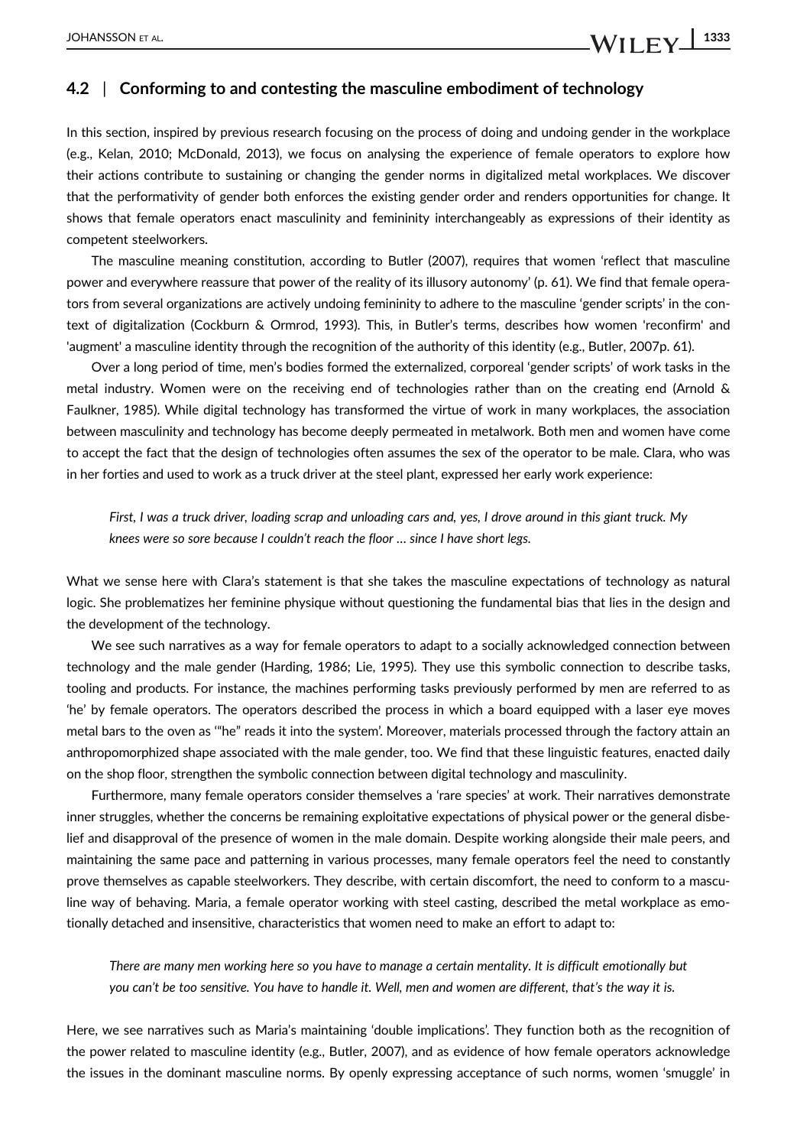## **4.2** | **Conforming to and contesting the masculine embodiment of technology**

In this section, inspired by previous research focusing on the process of doing and undoing gender in the workplace (e.g., Kelan, 2010; McDonald, 2013), we focus on analysing the experience of female operators to explore how their actions contribute to sustaining or changing the gender norms in digitalized metal workplaces. We discover that the performativity of gender both enforces the existing gender order and renders opportunities for change. It shows that female operators enact masculinity and femininity interchangeably as expressions of their identity as competent steelworkers.

The masculine meaning constitution, according to Butler (2007), requires that women 'reflect that masculine power and everywhere reassure that power of the reality of its illusory autonomy' (p. 61). We find that female operators from several organizations are actively undoing femininity to adhere to the masculine 'gender scripts' in the context of digitalization (Cockburn & Ormrod, 1993). This, in Butler's terms, describes how women 'reconfirm' and 'augment' a masculine identity through the recognition of the authority of this identity (e.g., Butler, 2007p. 61).

Over a long period of time, men's bodies formed the externalized, corporeal 'gender scripts' of work tasks in the metal industry. Women were on the receiving end of technologies rather than on the creating end (Arnold & Faulkner, 1985). While digital technology has transformed the virtue of work in many workplaces, the association between masculinity and technology has become deeply permeated in metalwork. Both men and women have come to accept the fact that the design of technologies often assumes the sex of the operator to be male. Clara, who was in her forties and used to work as a truck driver at the steel plant, expressed her early work experience:

*First, I was a truck driver, loading scrap and unloading cars and, yes, I drove around in this giant truck. My knees were so sore because I couldn't reach the floor … since I have short legs.*

What we sense here with Clara's statement is that she takes the masculine expectations of technology as natural logic. She problematizes her feminine physique without questioning the fundamental bias that lies in the design and the development of the technology.

We see such narratives as a way for female operators to adapt to a socially acknowledged connection between technology and the male gender (Harding, 1986; Lie, 1995). They use this symbolic connection to describe tasks, tooling and products. For instance, the machines performing tasks previously performed by men are referred to as 'he' by female operators. The operators described the process in which a board equipped with a laser eye moves metal bars to the oven as '"he" reads it into the system'. Moreover, materials processed through the factory attain an anthropomorphized shape associated with the male gender, too. We find that these linguistic features, enacted daily on the shop floor, strengthen the symbolic connection between digital technology and masculinity.

Furthermore, many female operators consider themselves a 'rare species' at work. Their narratives demonstrate inner struggles, whether the concerns be remaining exploitative expectations of physical power or the general disbelief and disapproval of the presence of women in the male domain. Despite working alongside their male peers, and maintaining the same pace and patterning in various processes, many female operators feel the need to constantly prove themselves as capable steelworkers. They describe, with certain discomfort, the need to conform to a masculine way of behaving. Maria, a female operator working with steel casting, described the metal workplace as emotionally detached and insensitive, characteristics that women need to make an effort to adapt to:

*There are many men working here so you have to manage a certain mentality. It is difficult emotionally but you can't be too sensitive. You have to handle it. Well, men and women are different, that's the way it is.*

Here, we see narratives such as Maria's maintaining 'double implications'. They function both as the recognition of the power related to masculine identity (e.g., Butler, 2007), and as evidence of how female operators acknowledge the issues in the dominant masculine norms. By openly expressing acceptance of such norms, women 'smuggle' in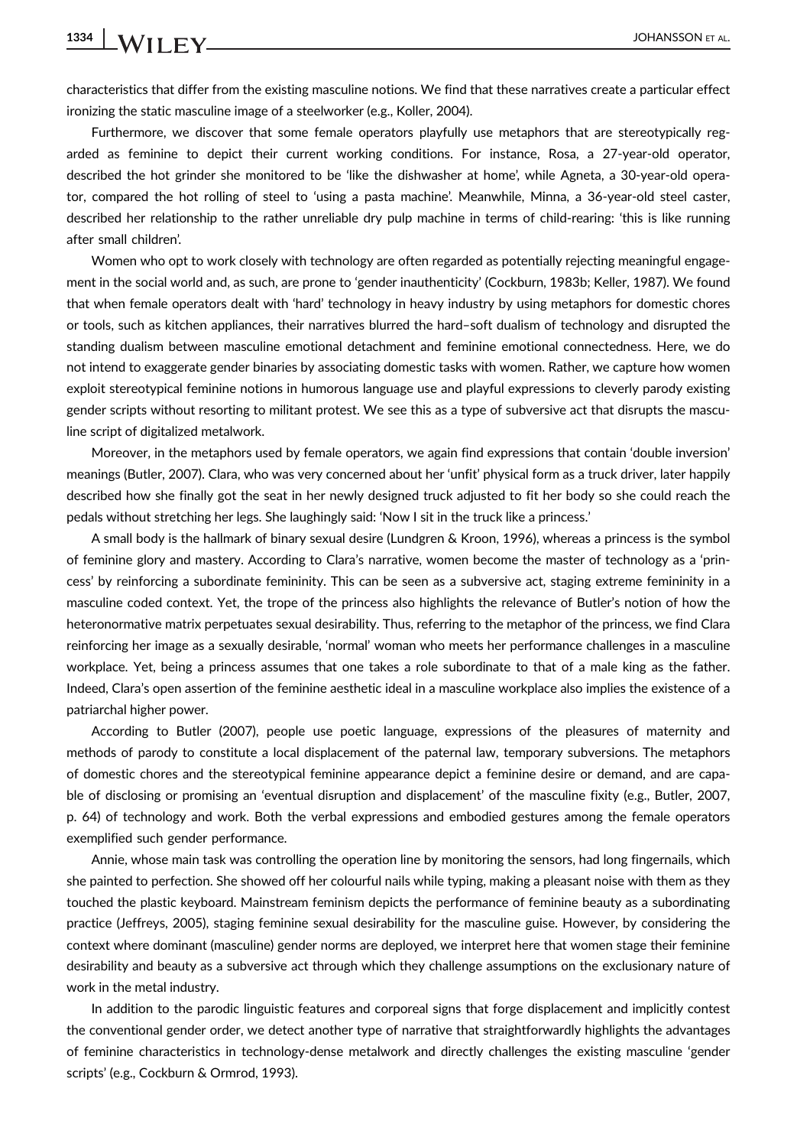characteristics that differ from the existing masculine notions. We find that these narratives create a particular effect ironizing the static masculine image of a steelworker (e.g., Koller, 2004).

Furthermore, we discover that some female operators playfully use metaphors that are stereotypically regarded as feminine to depict their current working conditions. For instance, Rosa, a 27-year-old operator, described the hot grinder she monitored to be 'like the dishwasher at home', while Agneta, a 30-year-old operator, compared the hot rolling of steel to 'using a pasta machine'. Meanwhile, Minna, a 36-year-old steel caster, described her relationship to the rather unreliable dry pulp machine in terms of child-rearing: 'this is like running after small children'.

Women who opt to work closely with technology are often regarded as potentially rejecting meaningful engagement in the social world and, as such, are prone to 'gender inauthenticity' (Cockburn, 1983b; Keller, 1987). We found that when female operators dealt with 'hard' technology in heavy industry by using metaphors for domestic chores or tools, such as kitchen appliances, their narratives blurred the hard–soft dualism of technology and disrupted the standing dualism between masculine emotional detachment and feminine emotional connectedness. Here, we do not intend to exaggerate gender binaries by associating domestic tasks with women. Rather, we capture how women exploit stereotypical feminine notions in humorous language use and playful expressions to cleverly parody existing gender scripts without resorting to militant protest. We see this as a type of subversive act that disrupts the masculine script of digitalized metalwork.

Moreover, in the metaphors used by female operators, we again find expressions that contain 'double inversion' meanings (Butler, 2007). Clara, who was very concerned about her 'unfit' physical form as a truck driver, later happily described how she finally got the seat in her newly designed truck adjusted to fit her body so she could reach the pedals without stretching her legs. She laughingly said: 'Now I sit in the truck like a princess.'

A small body is the hallmark of binary sexual desire (Lundgren & Kroon, 1996), whereas a princess is the symbol of feminine glory and mastery. According to Clara's narrative, women become the master of technology as a 'princess' by reinforcing a subordinate femininity. This can be seen as a subversive act, staging extreme femininity in a masculine coded context. Yet, the trope of the princess also highlights the relevance of Butler's notion of how the heteronormative matrix perpetuates sexual desirability. Thus, referring to the metaphor of the princess, we find Clara reinforcing her image as a sexually desirable, 'normal' woman who meets her performance challenges in a masculine workplace. Yet, being a princess assumes that one takes a role subordinate to that of a male king as the father. Indeed, Clara's open assertion of the feminine aesthetic ideal in a masculine workplace also implies the existence of a patriarchal higher power.

According to Butler (2007), people use poetic language, expressions of the pleasures of maternity and methods of parody to constitute a local displacement of the paternal law, temporary subversions. The metaphors of domestic chores and the stereotypical feminine appearance depict a feminine desire or demand, and are capable of disclosing or promising an 'eventual disruption and displacement' of the masculine fixity (e.g., Butler, 2007, p. 64) of technology and work. Both the verbal expressions and embodied gestures among the female operators exemplified such gender performance.

Annie, whose main task was controlling the operation line by monitoring the sensors, had long fingernails, which she painted to perfection. She showed off her colourful nails while typing, making a pleasant noise with them as they touched the plastic keyboard. Mainstream feminism depicts the performance of feminine beauty as a subordinating practice (Jeffreys, 2005), staging feminine sexual desirability for the masculine guise. However, by considering the context where dominant (masculine) gender norms are deployed, we interpret here that women stage their feminine desirability and beauty as a subversive act through which they challenge assumptions on the exclusionary nature of work in the metal industry.

In addition to the parodic linguistic features and corporeal signs that forge displacement and implicitly contest the conventional gender order, we detect another type of narrative that straightforwardly highlights the advantages of feminine characteristics in technology-dense metalwork and directly challenges the existing masculine 'gender scripts' (e.g., Cockburn & Ormrod, 1993).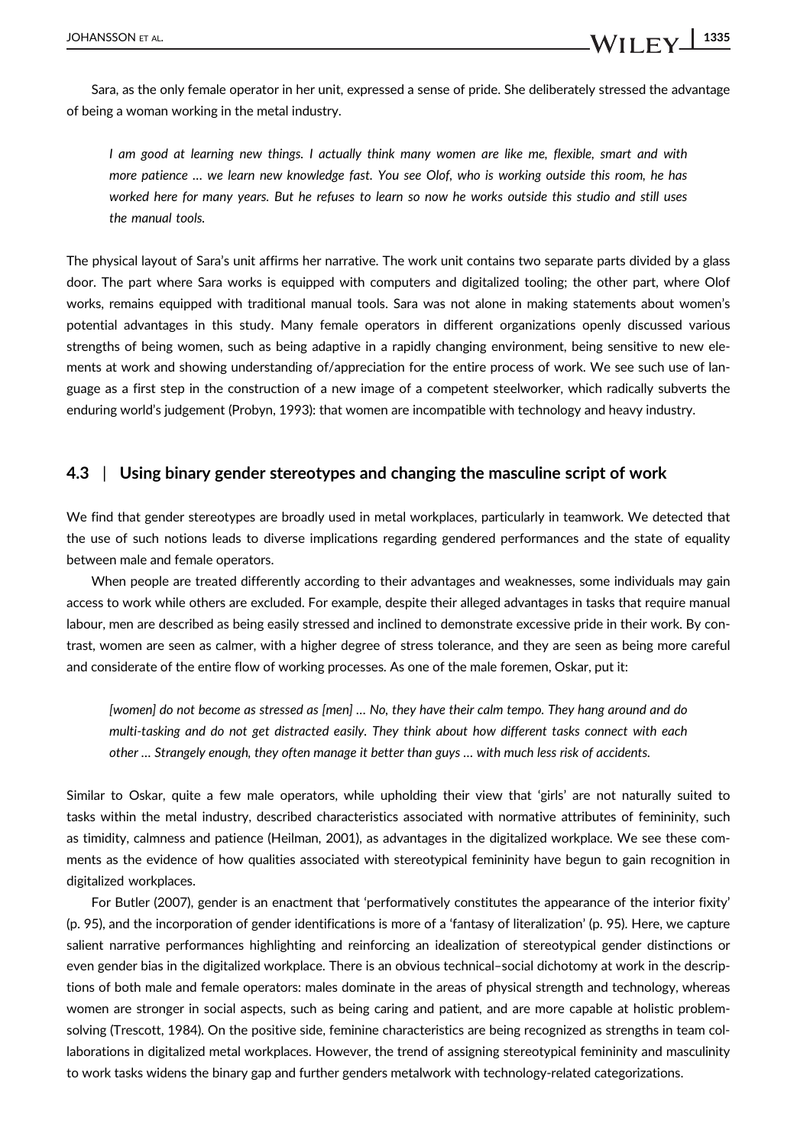Sara, as the only female operator in her unit, expressed a sense of pride. She deliberately stressed the advantage of being a woman working in the metal industry.

*I am good at learning new things. I actually think many women are like me, flexible, smart and with more patience … we learn new knowledge fast. You see Olof, who is working outside this room, he has worked here for many years. But he refuses to learn so now he works outside this studio and still uses the manual tools.*

The physical layout of Sara's unit affirms her narrative. The work unit contains two separate parts divided by a glass door. The part where Sara works is equipped with computers and digitalized tooling; the other part, where Olof works, remains equipped with traditional manual tools. Sara was not alone in making statements about women's potential advantages in this study. Many female operators in different organizations openly discussed various strengths of being women, such as being adaptive in a rapidly changing environment, being sensitive to new elements at work and showing understanding of/appreciation for the entire process of work. We see such use of language as a first step in the construction of a new image of a competent steelworker, which radically subverts the enduring world's judgement (Probyn, 1993): that women are incompatible with technology and heavy industry.

## **4.3** | **Using binary gender stereotypes and changing the masculine script of work**

We find that gender stereotypes are broadly used in metal workplaces, particularly in teamwork. We detected that the use of such notions leads to diverse implications regarding gendered performances and the state of equality between male and female operators.

When people are treated differently according to their advantages and weaknesses, some individuals may gain access to work while others are excluded. For example, despite their alleged advantages in tasks that require manual labour, men are described as being easily stressed and inclined to demonstrate excessive pride in their work. By contrast, women are seen as calmer, with a higher degree of stress tolerance, and they are seen as being more careful and considerate of the entire flow of working processes. As one of the male foremen, Oskar, put it:

*[women] do not become as stressed as [men] … No, they have their calm tempo. They hang around and do multi-tasking and do not get distracted easily. They think about how different tasks connect with each other … Strangely enough, they often manage it better than guys … with much less risk of accidents.*

Similar to Oskar, quite a few male operators, while upholding their view that 'girls' are not naturally suited to tasks within the metal industry, described characteristics associated with normative attributes of femininity, such as timidity, calmness and patience (Heilman, 2001), as advantages in the digitalized workplace. We see these comments as the evidence of how qualities associated with stereotypical femininity have begun to gain recognition in digitalized workplaces.

For Butler (2007), gender is an enactment that 'performatively constitutes the appearance of the interior fixity' (p. 95), and the incorporation of gender identifications is more of a 'fantasy of literalization' (p. 95). Here, we capture salient narrative performances highlighting and reinforcing an idealization of stereotypical gender distinctions or even gender bias in the digitalized workplace. There is an obvious technical–social dichotomy at work in the descriptions of both male and female operators: males dominate in the areas of physical strength and technology, whereas women are stronger in social aspects, such as being caring and patient, and are more capable at holistic problemsolving (Trescott, 1984). On the positive side, feminine characteristics are being recognized as strengths in team collaborations in digitalized metal workplaces. However, the trend of assigning stereotypical femininity and masculinity to work tasks widens the binary gap and further genders metalwork with technology-related categorizations.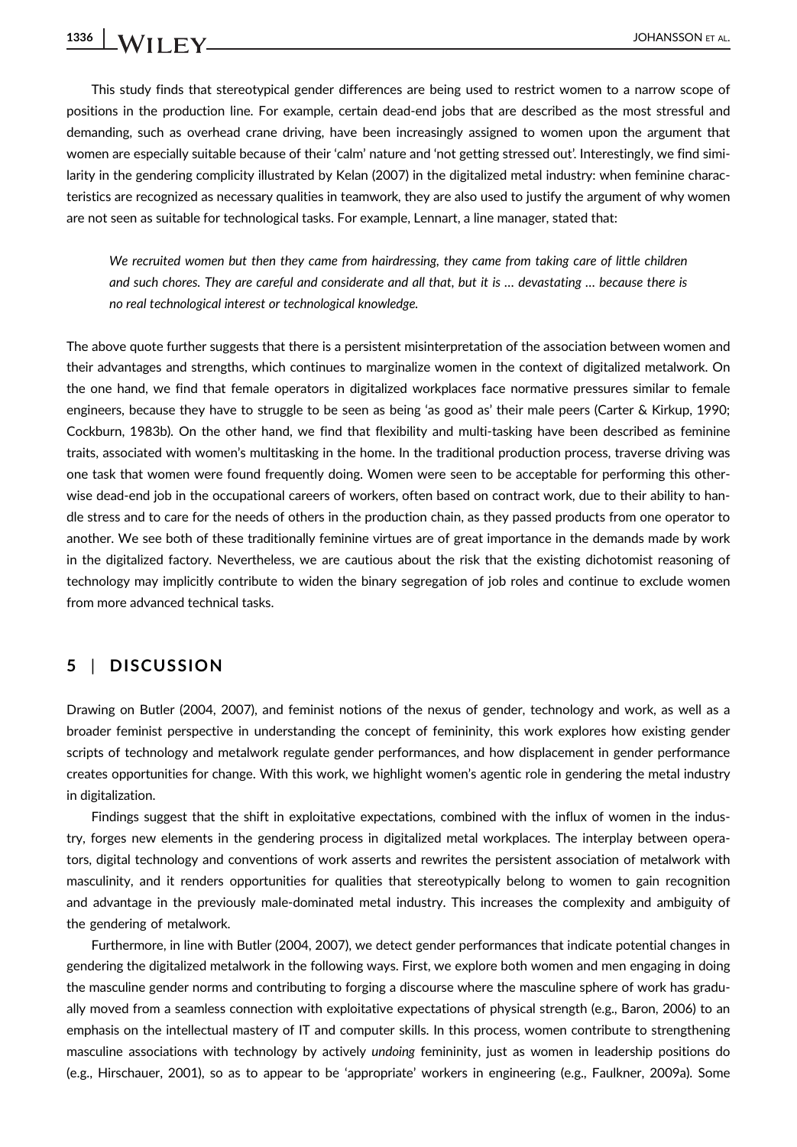This study finds that stereotypical gender differences are being used to restrict women to a narrow scope of positions in the production line. For example, certain dead-end jobs that are described as the most stressful and demanding, such as overhead crane driving, have been increasingly assigned to women upon the argument that women are especially suitable because of their 'calm' nature and 'not getting stressed out'. Interestingly, we find similarity in the gendering complicity illustrated by Kelan (2007) in the digitalized metal industry: when feminine characteristics are recognized as necessary qualities in teamwork, they are also used to justify the argument of why women are not seen as suitable for technological tasks. For example, Lennart, a line manager, stated that:

*We recruited women but then they came from hairdressing, they came from taking care of little children and such chores. They are careful and considerate and all that, but it is … devastating … because there is no real technological interest or technological knowledge.*

The above quote further suggests that there is a persistent misinterpretation of the association between women and their advantages and strengths, which continues to marginalize women in the context of digitalized metalwork. On the one hand, we find that female operators in digitalized workplaces face normative pressures similar to female engineers, because they have to struggle to be seen as being 'as good as' their male peers (Carter & Kirkup, 1990; Cockburn, 1983b). On the other hand, we find that flexibility and multi-tasking have been described as feminine traits, associated with women's multitasking in the home. In the traditional production process, traverse driving was one task that women were found frequently doing. Women were seen to be acceptable for performing this otherwise dead-end job in the occupational careers of workers, often based on contract work, due to their ability to handle stress and to care for the needs of others in the production chain, as they passed products from one operator to another. We see both of these traditionally feminine virtues are of great importance in the demands made by work in the digitalized factory. Nevertheless, we are cautious about the risk that the existing dichotomist reasoning of technology may implicitly contribute to widen the binary segregation of job roles and continue to exclude women from more advanced technical tasks.

# **5** | **DISCUSSION**

Drawing on Butler (2004, 2007), and feminist notions of the nexus of gender, technology and work, as well as a broader feminist perspective in understanding the concept of femininity, this work explores how existing gender scripts of technology and metalwork regulate gender performances, and how displacement in gender performance creates opportunities for change. With this work, we highlight women's agentic role in gendering the metal industry in digitalization.

Findings suggest that the shift in exploitative expectations, combined with the influx of women in the industry, forges new elements in the gendering process in digitalized metal workplaces. The interplay between operators, digital technology and conventions of work asserts and rewrites the persistent association of metalwork with masculinity, and it renders opportunities for qualities that stereotypically belong to women to gain recognition and advantage in the previously male-dominated metal industry. This increases the complexity and ambiguity of the gendering of metalwork.

Furthermore, in line with Butler (2004, 2007), we detect gender performances that indicate potential changes in gendering the digitalized metalwork in the following ways. First, we explore both women and men engaging in doing the masculine gender norms and contributing to forging a discourse where the masculine sphere of work has gradually moved from a seamless connection with exploitative expectations of physical strength (e.g., Baron, 2006) to an emphasis on the intellectual mastery of IT and computer skills. In this process, women contribute to strengthening masculine associations with technology by actively *undoing* femininity, just as women in leadership positions do (e.g., Hirschauer, 2001), so as to appear to be 'appropriate' workers in engineering (e.g., Faulkner, 2009a). Some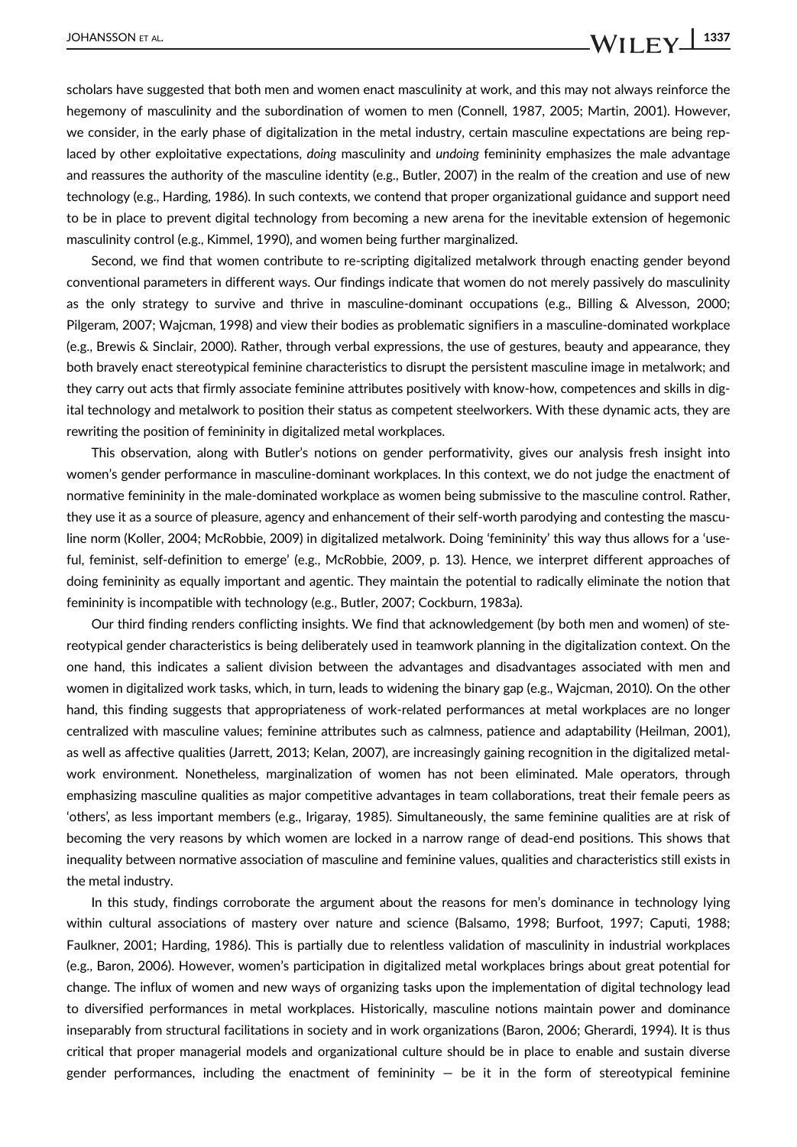scholars have suggested that both men and women enact masculinity at work, and this may not always reinforce the hegemony of masculinity and the subordination of women to men (Connell, 1987, 2005; Martin, 2001). However, we consider, in the early phase of digitalization in the metal industry, certain masculine expectations are being replaced by other exploitative expectations, *doing* masculinity and *undoing* femininity emphasizes the male advantage and reassures the authority of the masculine identity (e.g., Butler, 2007) in the realm of the creation and use of new technology (e.g., Harding, 1986). In such contexts, we contend that proper organizational guidance and support need to be in place to prevent digital technology from becoming a new arena for the inevitable extension of hegemonic masculinity control (e.g., Kimmel, 1990), and women being further marginalized.

Second, we find that women contribute to re-scripting digitalized metalwork through enacting gender beyond conventional parameters in different ways. Our findings indicate that women do not merely passively do masculinity as the only strategy to survive and thrive in masculine-dominant occupations (e.g., Billing & Alvesson, 2000; Pilgeram, 2007; Wajcman, 1998) and view their bodies as problematic signifiers in a masculine-dominated workplace (e.g., Brewis & Sinclair, 2000). Rather, through verbal expressions, the use of gestures, beauty and appearance, they both bravely enact stereotypical feminine characteristics to disrupt the persistent masculine image in metalwork; and they carry out acts that firmly associate feminine attributes positively with know-how, competences and skills in digital technology and metalwork to position their status as competent steelworkers. With these dynamic acts, they are rewriting the position of femininity in digitalized metal workplaces.

This observation, along with Butler's notions on gender performativity, gives our analysis fresh insight into women's gender performance in masculine-dominant workplaces. In this context, we do not judge the enactment of normative femininity in the male-dominated workplace as women being submissive to the masculine control. Rather, they use it as a source of pleasure, agency and enhancement of their self-worth parodying and contesting the masculine norm (Koller, 2004; McRobbie, 2009) in digitalized metalwork. Doing 'femininity' this way thus allows for a 'useful, feminist, self-definition to emerge' (e.g., McRobbie, 2009, p. 13). Hence, we interpret different approaches of doing femininity as equally important and agentic. They maintain the potential to radically eliminate the notion that femininity is incompatible with technology (e.g., Butler, 2007; Cockburn, 1983a).

Our third finding renders conflicting insights. We find that acknowledgement (by both men and women) of stereotypical gender characteristics is being deliberately used in teamwork planning in the digitalization context. On the one hand, this indicates a salient division between the advantages and disadvantages associated with men and women in digitalized work tasks, which, in turn, leads to widening the binary gap (e.g., Wajcman, 2010). On the other hand, this finding suggests that appropriateness of work-related performances at metal workplaces are no longer centralized with masculine values; feminine attributes such as calmness, patience and adaptability (Heilman, 2001), as well as affective qualities (Jarrett, 2013; Kelan, 2007), are increasingly gaining recognition in the digitalized metalwork environment. Nonetheless, marginalization of women has not been eliminated. Male operators, through emphasizing masculine qualities as major competitive advantages in team collaborations, treat their female peers as 'others', as less important members (e.g., Irigaray, 1985). Simultaneously, the same feminine qualities are at risk of becoming the very reasons by which women are locked in a narrow range of dead-end positions. This shows that inequality between normative association of masculine and feminine values, qualities and characteristics still exists in the metal industry.

In this study, findings corroborate the argument about the reasons for men's dominance in technology lying within cultural associations of mastery over nature and science (Balsamo, 1998; Burfoot, 1997; Caputi, 1988; Faulkner, 2001; Harding, 1986). This is partially due to relentless validation of masculinity in industrial workplaces (e.g., Baron, 2006). However, women's participation in digitalized metal workplaces brings about great potential for change. The influx of women and new ways of organizing tasks upon the implementation of digital technology lead to diversified performances in metal workplaces. Historically, masculine notions maintain power and dominance inseparably from structural facilitations in society and in work organizations (Baron, 2006; Gherardi, 1994). It is thus critical that proper managerial models and organizational culture should be in place to enable and sustain diverse gender performances, including the enactment of femininity  $-$  be it in the form of stereotypical feminine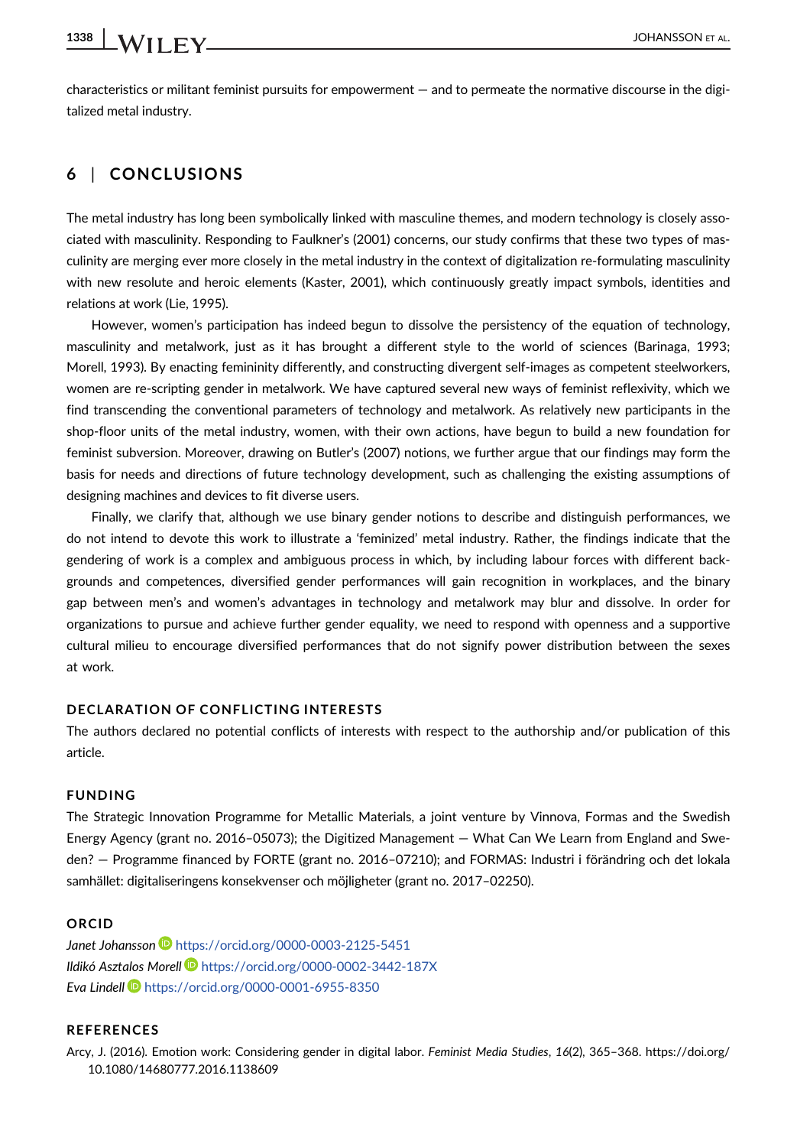characteristics or militant feminist pursuits for empowerment — and to permeate the normative discourse in the digitalized metal industry.

# **6** | **CONCLUSIONS**

The metal industry has long been symbolically linked with masculine themes, and modern technology is closely associated with masculinity. Responding to Faulkner's (2001) concerns, our study confirms that these two types of masculinity are merging ever more closely in the metal industry in the context of digitalization re-formulating masculinity with new resolute and heroic elements (Kaster, 2001), which continuously greatly impact symbols, identities and relations at work (Lie, 1995).

However, women's participation has indeed begun to dissolve the persistency of the equation of technology, masculinity and metalwork, just as it has brought a different style to the world of sciences (Barinaga, 1993; Morell, 1993). By enacting femininity differently, and constructing divergent self-images as competent steelworkers, women are re-scripting gender in metalwork. We have captured several new ways of feminist reflexivity, which we find transcending the conventional parameters of technology and metalwork. As relatively new participants in the shop-floor units of the metal industry, women, with their own actions, have begun to build a new foundation for feminist subversion. Moreover, drawing on Butler's (2007) notions, we further argue that our findings may form the basis for needs and directions of future technology development, such as challenging the existing assumptions of designing machines and devices to fit diverse users.

Finally, we clarify that, although we use binary gender notions to describe and distinguish performances, we do not intend to devote this work to illustrate a 'feminized' metal industry. Rather, the findings indicate that the gendering of work is a complex and ambiguous process in which, by including labour forces with different backgrounds and competences, diversified gender performances will gain recognition in workplaces, and the binary gap between men's and women's advantages in technology and metalwork may blur and dissolve. In order for organizations to pursue and achieve further gender equality, we need to respond with openness and a supportive cultural milieu to encourage diversified performances that do not signify power distribution between the sexes at work.

## **DECLARATION OF CONFLICTING INTERESTS**

The authors declared no potential conflicts of interests with respect to the authorship and/or publication of this article.

#### **FUNDING**

The Strategic Innovation Programme for Metallic Materials, a joint venture by Vinnova, Formas and the Swedish Energy Agency (grant no. 2016–05073); the Digitized Management — What Can We Learn from England and Sweden? — Programme financed by FORTE (grant no. 2016–07210); and FORMAS: Industri i förändring och det lokala samhället: digitaliseringens konsekvenser och möjligheter (grant no. 2017–02250).

#### **ORCID**

Janet Johansson<sup>1</sup> <https://orcid.org/0000-0003-2125-5451> *Ildikó Asztalos Morell* <https://orcid.org/0000-0002-3442-187X> *Eva Lindell* <https://orcid.org/0000-0001-6955-8350>

#### **REFERENCES**

Arcy, J. (2016). Emotion work: Considering gender in digital labor. *Feminist Media Studies*, *16*(2), 365–368. [https://doi.org/](https://doi.org/10.1080/14680777.2016.1138609) [10.1080/14680777.2016.1138609](https://doi.org/10.1080/14680777.2016.1138609)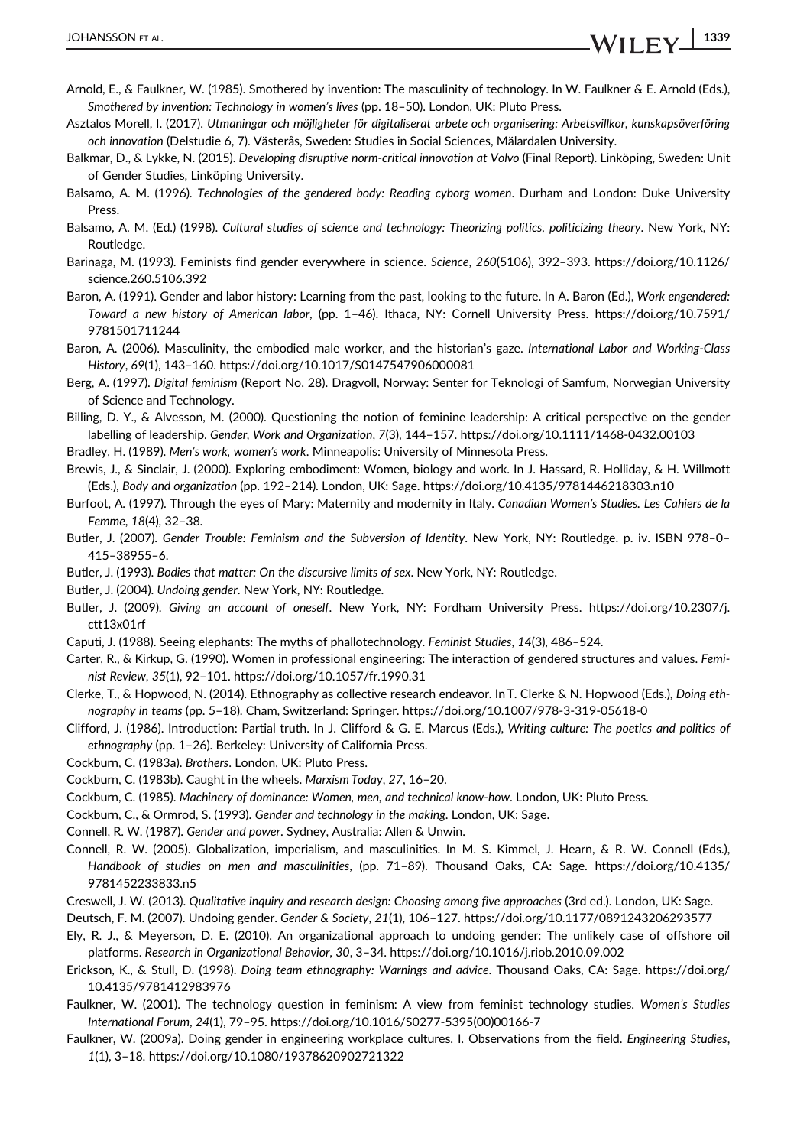- Arnold, E., & Faulkner, W. (1985). Smothered by invention: The masculinity of technology. In W. Faulkner & E. Arnold (Eds.), *Smothered by invention: Technology in women's lives* (pp. 18–50). London, UK: Pluto Press.
- Asztalos Morell, I. (2017). *Utmaningar och möjligheter för digitaliserat arbete och organisering: Arbetsvillkor, kunskapsöverföring och innovation* (Delstudie 6, 7). Västerås, Sweden: Studies in Social Sciences, Mälardalen University.
- Balkmar, D., & Lykke, N. (2015). *Developing disruptive norm-critical innovation at Volvo* (Final Report). Linköping, Sweden: Unit of Gender Studies, Linköping University.
- Balsamo, A. M. (1996). *Technologies of the gendered body: Reading cyborg women*. Durham and London: Duke University Press.
- Balsamo, A. M. (Ed.) (1998). *Cultural studies of science and technology: Theorizing politics, politicizing theory*. New York, NY: Routledge.
- Barinaga, M. (1993). Feminists find gender everywhere in science. *Science*, *260*(5106), 392–393. [https://doi.org/10.1126/](https://doi.org/10.1126/science.260.5106.392) [science.260.5106.392](https://doi.org/10.1126/science.260.5106.392)
- Baron, A. (1991). Gender and labor history: Learning from the past, looking to the future. In A. Baron (Ed.), *Work engendered: Toward a new history of American labor*, (pp. 1–46). Ithaca, NY: Cornell University Press. [https://doi.org/10.7591/](https://doi.org/10.7591/9781501711244) [9781501711244](https://doi.org/10.7591/9781501711244)
- Baron, A. (2006). Masculinity, the embodied male worker, and the historian's gaze. *International Labor and Working-Class History*, *69*(1), 143–160.<https://doi.org/10.1017/S0147547906000081>
- Berg, A. (1997). *Digital feminism* (Report No. 28). Dragvoll, Norway: Senter for Teknologi of Samfum, Norwegian University of Science and Technology.
- Billing, D. Y., & Alvesson, M. (2000). Questioning the notion of feminine leadership: A critical perspective on the gender labelling of leadership. *Gender, Work and Organization*, *7*(3), 144–157.<https://doi.org/10.1111/1468-0432.00103>
- Bradley, H. (1989). *Men's work, women's work*. Minneapolis: University of Minnesota Press.
- Brewis, J., & Sinclair, J. (2000). Exploring embodiment: Women, biology and work. In J. Hassard, R. Holliday, & H. Willmott (Eds.), *Body and organization* (pp. 192–214). London, UK: Sage.<https://doi.org/10.4135/9781446218303.n10>
- Burfoot, A. (1997). Through the eyes of Mary: Maternity and modernity in Italy. *Canadian Women's Studies. Les Cahiers de la Femme*, *18*(4), 32–38.
- Butler, J. (2007). *Gender Trouble: Feminism and the Subversion of Identity*. New York, NY: Routledge. p. iv. ISBN 978–0– 415–38955–6.
- Butler, J. (1993). *Bodies that matter: On the discursive limits of sex*. New York, NY: Routledge.
- Butler, J. (2004). *Undoing gender*. New York, NY: Routledge.
- Butler, J. (2009). *Giving an account of oneself*. New York, NY: Fordham University Press. [https://doi.org/10.2307/j.](https://doi.org/10.2307/j.ctt13x01rf) [ctt13x01rf](https://doi.org/10.2307/j.ctt13x01rf)
- Caputi, J. (1988). Seeing elephants: The myths of phallotechnology. *Feminist Studies*, *14*(3), 486–524.
- Carter, R., & Kirkup, G. (1990). Women in professional engineering: The interaction of gendered structures and values. *Feminist Review*, *35*(1), 92–101.<https://doi.org/10.1057/fr.1990.31>
- Clerke, T., & Hopwood, N. (2014). Ethnography as collective research endeavor. In T. Clerke & N. Hopwood (Eds.), *Doing ethnography in teams* (pp. 5–18). Cham, Switzerland: Springer.<https://doi.org/10.1007/978-3-319-05618-0>
- Clifford, J. (1986). Introduction: Partial truth. In J. Clifford & G. E. Marcus (Eds.), *Writing culture: The poetics and politics of ethnography* (pp. 1–26). Berkeley: University of California Press.
- Cockburn, C. (1983a). *Brothers*. London, UK: Pluto Press.
- Cockburn, C. (1983b). Caught in the wheels. *Marxism Today*, *27*, 16–20.
- Cockburn, C. (1985). *Machinery of dominance: Women, men, and technical know-how*. London, UK: Pluto Press.
- Cockburn, C., & Ormrod, S. (1993). *Gender and technology in the making*. London, UK: Sage.
- Connell, R. W. (1987). *Gender and power*. Sydney, Australia: Allen & Unwin.
- Connell, R. W. (2005). Globalization, imperialism, and masculinities. In M. S. Kimmel, J. Hearn, & R. W. Connell (Eds.), *Handbook of studies on men and masculinities*, (pp. 71–89). Thousand Oaks, CA: Sage. [https://doi.org/10.4135/](https://doi.org/10.4135/9781452233833.n5) [9781452233833.n5](https://doi.org/10.4135/9781452233833.n5)
- Creswell, J. W. (2013). *Qualitative inquiry and research design: Choosing among five approaches* (3rd ed.). London, UK: Sage.
- Deutsch, F. M. (2007). Undoing gender. *Gender & Society*, *21*(1), 106–127.<https://doi.org/10.1177/0891243206293577>
- Ely, R. J., & Meyerson, D. E. (2010). An organizational approach to undoing gender: The unlikely case of offshore oil platforms. *Research in Organizational Behavior*, *30*, 3–34.<https://doi.org/10.1016/j.riob.2010.09.002>
- Erickson, K., & Stull, D. (1998). *Doing team ethnography: Warnings and advice*. Thousand Oaks, CA: Sage. [https://doi.org/](https://doi.org/10.4135/9781412983976) [10.4135/9781412983976](https://doi.org/10.4135/9781412983976)
- Faulkner, W. (2001). The technology question in feminism: A view from feminist technology studies. *Women's Studies International Forum*, *24*(1), 79–95. [https://doi.org/10.1016/S0277-5395\(00\)00166-7](https://doi.org/10.1016/S0277-5395(00)00166-7)
- Faulkner, W. (2009a). Doing gender in engineering workplace cultures. I. Observations from the field. *Engineering Studies*, *1*(1), 3–18.<https://doi.org/10.1080/19378620902721322>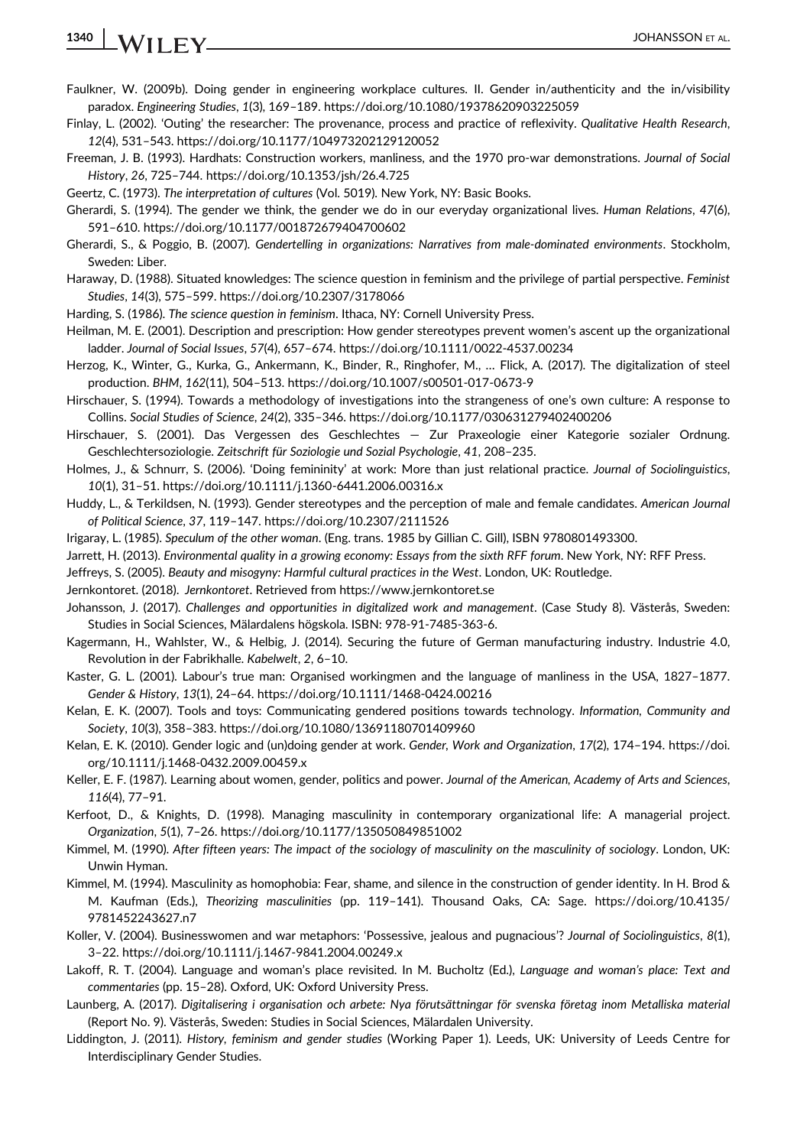# **1340 WII FV WII CONSTRUCT AL.**

- Faulkner, W. (2009b). Doing gender in engineering workplace cultures. II. Gender in/authenticity and the in/visibility paradox. *Engineering Studies*, *1*(3), 169–189.<https://doi.org/10.1080/19378620903225059>
- Finlay, L. (2002). 'Outing' the researcher: The provenance, process and practice of reflexivity. *Qualitative Health Research*, *12*(4), 531–543.<https://doi.org/10.1177/104973202129120052>
- Freeman, J. B. (1993). Hardhats: Construction workers, manliness, and the 1970 pro-war demonstrations. *Journal of Social History*, *26*, 725–744.<https://doi.org/10.1353/jsh/26.4.725>
- Geertz, C. (1973). *The interpretation of cultures* (Vol. 5019). New York, NY: Basic Books.
- Gherardi, S. (1994). The gender we think, the gender we do in our everyday organizational lives. *Human Relations*, *47*(6), 591–610.<https://doi.org/10.1177/001872679404700602>

Gherardi, S., & Poggio, B. (2007). *Gendertelling in organizations: Narratives from male-dominated environments*. Stockholm, Sweden: Liber.

- Haraway, D. (1988). Situated knowledges: The science question in feminism and the privilege of partial perspective. *Feminist Studies*, *14*(3), 575–599.<https://doi.org/10.2307/3178066>
- Harding, S. (1986). *The science question in feminism*. Ithaca, NY: Cornell University Press.
- Heilman, M. E. (2001). Description and prescription: How gender stereotypes prevent women's ascent up the organizational ladder. *Journal of Social Issues*, *57*(4), 657–674.<https://doi.org/10.1111/0022-4537.00234>
- Herzog, K., Winter, G., Kurka, G., Ankermann, K., Binder, R., Ringhofer, M., … Flick, A. (2017). The digitalization of steel production. *BHM*, *162*(11), 504–513.<https://doi.org/10.1007/s00501-017-0673-9>
- Hirschauer, S. (1994). Towards a methodology of investigations into the strangeness of one's own culture: A response to Collins. *Social Studies of Science*, *24*(2), 335–346.<https://doi.org/10.1177/030631279402400206>
- Hirschauer, S. (2001). Das Vergessen des Geschlechtes Zur Praxeologie einer Kategorie sozialer Ordnung. Geschlechtersoziologie. *Zeitschrift für Soziologie und Sozial Psychologie*, *41*, 208–235.
- Holmes, J., & Schnurr, S. (2006). 'Doing femininity' at work: More than just relational practice. *Journal of Sociolinguistics*, *10*(1), 31–51.<https://doi.org/10.1111/j.1360-6441.2006.00316.x>
- Huddy, L., & Terkildsen, N. (1993). Gender stereotypes and the perception of male and female candidates. *American Journal of Political Science*, *37*, 119–147.<https://doi.org/10.2307/2111526>
- Irigaray, L. (1985). *Speculum of the other woman*. (Eng. trans. 1985 by Gillian C. Gill), ISBN 9780801493300.
- Jarrett, H. (2013). *Environmental quality in a growing economy: Essays from the sixth RFF forum*. New York, NY: RFF Press.
- Jeffreys, S. (2005). *Beauty and misogyny: Harmful cultural practices in the West*. London, UK: Routledge.
- Jernkontoret. (2018). *Jernkontoret*. Retrieved from<https://www.jernkontoret.se>
- Johansson, J. (2017). *Challenges and opportunities in digitalized work and management*. (Case Study 8). Västerås, Sweden: Studies in Social Sciences, Mälardalens högskola. ISBN: 978-91-7485-363-6.
- Kagermann, H., Wahlster, W., & Helbig, J. (2014). Securing the future of German manufacturing industry. Industrie 4.0, Revolution in der Fabrikhalle. *Kabelwelt*, *2*, 6–10.
- Kaster, G. L. (2001). Labour's true man: Organised workingmen and the language of manliness in the USA, 1827–1877. *Gender & History*, *13*(1), 24–64.<https://doi.org/10.1111/1468-0424.00216>
- Kelan, E. K. (2007). Tools and toys: Communicating gendered positions towards technology. *Information, Community and Society*, *10*(3), 358–383.<https://doi.org/10.1080/13691180701409960>
- Kelan, E. K. (2010). Gender logic and (un)doing gender at work. *Gender, Work and Organization*, *17*(2), 174–194. [https://doi.](https://doi.org/10.1111/j.1468-0432.2009.00459.x) [org/10.1111/j.1468-0432.2009.00459.x](https://doi.org/10.1111/j.1468-0432.2009.00459.x)
- Keller, E. F. (1987). Learning about women, gender, politics and power. *Journal of the American, Academy of Arts and Sciences*, *116*(4), 77–91.
- Kerfoot, D., & Knights, D. (1998). Managing masculinity in contemporary organizational life: A managerial project. *Organization*, *5*(1), 7–26.<https://doi.org/10.1177/135050849851002>
- Kimmel, M. (1990). *After fifteen years: The impact of the sociology of masculinity on the masculinity of sociology*. London, UK: Unwin Hyman.
- Kimmel, M. (1994). Masculinity as homophobia: Fear, shame, and silence in the construction of gender identity. In H. Brod & M. Kaufman (Eds.), *Theorizing masculinities* (pp. 119–141). Thousand Oaks, CA: Sage. [https://doi.org/10.4135/](https://doi.org/10.4135/9781452243627.n7) [9781452243627.n7](https://doi.org/10.4135/9781452243627.n7)
- Koller, V. (2004). Businesswomen and war metaphors: 'Possessive, jealous and pugnacious'? *Journal of Sociolinguistics*, *8*(1), 3–22.<https://doi.org/10.1111/j.1467-9841.2004.00249.x>
- Lakoff, R. T. (2004). Language and woman's place revisited. In M. Bucholtz (Ed.), *Language and woman's place: Text and commentaries* (pp. 15–28). Oxford, UK: Oxford University Press.
- Launberg, A. (2017). *Digitalisering i organisation och arbete: Nya förutsättningar för svenska företag inom Metalliska material* (Report No. 9). Västerås, Sweden: Studies in Social Sciences, Mälardalen University.
- Liddington, J. (2011). *History, feminism and gender studies* (Working Paper 1). Leeds, UK: University of Leeds Centre for Interdisciplinary Gender Studies.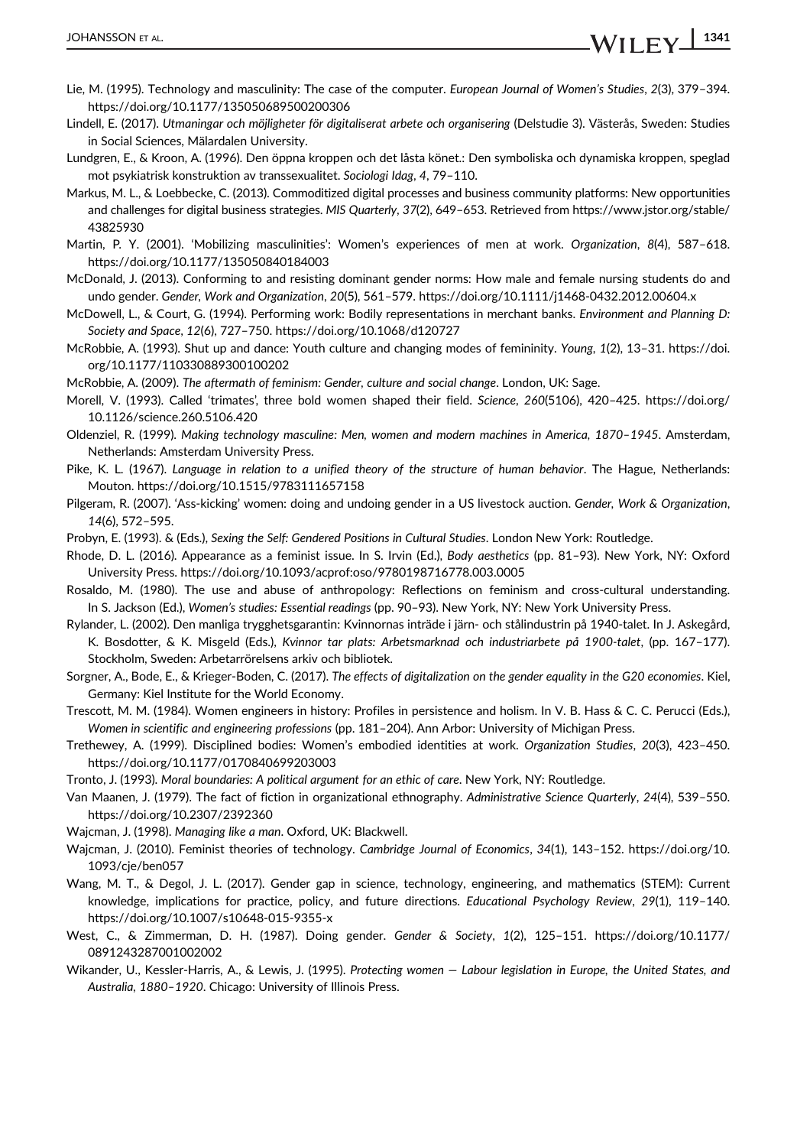- Lie, M. (1995). Technology and masculinity: The case of the computer. *European Journal of Women's Studies*, *2*(3), 379–394. <https://doi.org/10.1177/135050689500200306>
- Lindell, E. (2017). *Utmaningar och möjligheter för digitaliserat arbete och organisering* (Delstudie 3). Västerås, Sweden: Studies in Social Sciences, Mälardalen University.
- Lundgren, E., & Kroon, A. (1996). Den öppna kroppen och det låsta könet.: Den symboliska och dynamiska kroppen, speglad mot psykiatrisk konstruktion av transsexualitet. *Sociologi Idag*, *4*, 79–110.
- Markus, M. L., & Loebbecke, C. (2013). Commoditized digital processes and business community platforms: New opportunities and challenges for digital business strategies. *MIS Quarterly*, *37*(2), 649–653. Retrieved from [https://www.jstor.org/stable/](https://www.jstor.org/stable/43825930) [43825930](https://www.jstor.org/stable/43825930)
- Martin, P. Y. (2001). 'Mobilizing masculinities': Women's experiences of men at work. *Organization*, *8*(4), 587–618. <https://doi.org/10.1177/135050840184003>
- McDonald, J. (2013). Conforming to and resisting dominant gender norms: How male and female nursing students do and undo gender. *Gender, Work and Organization*, *20*(5), 561–579.<https://doi.org/10.1111/j1468-0432.2012.00604.x>
- McDowell, L., & Court, G. (1994). Performing work: Bodily representations in merchant banks. *Environment and Planning D: Society and Space*, *12*(6), 727–750.<https://doi.org/10.1068/d120727>
- McRobbie, A. (1993). Shut up and dance: Youth culture and changing modes of femininity. *Young*, *1*(2), 13–31. [https://doi.](https://doi.org/10.1177/110330889300100202) [org/10.1177/110330889300100202](https://doi.org/10.1177/110330889300100202)
- McRobbie, A. (2009). *The aftermath of feminism: Gender, culture and social change*. London, UK: Sage.
- Morell, V. (1993). Called 'trimates', three bold women shaped their field. *Science*, *260*(5106), 420–425. [https://doi.org/](https://doi.org/10.1126/science.260.5106.420) [10.1126/science.260.5106.420](https://doi.org/10.1126/science.260.5106.420)
- Oldenziel, R. (1999). *Making technology masculine: Men, women and modern machines in America, 1870–1945*. Amsterdam, Netherlands: Amsterdam University Press.
- Pike, K. L. (1967). *Language in relation to a unified theory of the structure of human behavior*. The Hague, Netherlands: Mouton.<https://doi.org/10.1515/9783111657158>
- Pilgeram, R. (2007). 'Ass-kicking' women: doing and undoing gender in a US livestock auction. *Gender, Work & Organization*, *14*(6), 572–595.
- Probyn, E. (1993). & (Eds.), *Sexing the Self: Gendered Positions in Cultural Studies*. London New York: Routledge.
- Rhode, D. L. (2016). Appearance as a feminist issue. In S. Irvin (Ed.), *Body aesthetics* (pp. 81–93). New York, NY: Oxford University Press.<https://doi.org/10.1093/acprof:oso/9780198716778.003.0005>
- Rosaldo, M. (1980). The use and abuse of anthropology: Reflections on feminism and cross-cultural understanding. In S. Jackson (Ed.), *Women's studies: Essential readings* (pp. 90–93). New York, NY: New York University Press.
- Rylander, L. (2002). Den manliga trygghetsgarantin: Kvinnornas inträde i järn- och stålindustrin på 1940-talet. In J. Askegård, K. Bosdotter, & K. Misgeld (Eds.), *Kvinnor tar plats: Arbetsmarknad och industriarbete på 1900-talet*, (pp. 167–177). Stockholm, Sweden: Arbetarrörelsens arkiv och bibliotek.
- Sorgner, A., Bode, E., & Krieger-Boden, C. (2017). *The effects of digitalization on the gender equality in the G20 economies*. Kiel, Germany: Kiel Institute for the World Economy.
- Trescott, M. M. (1984). Women engineers in history: Profiles in persistence and holism. In V. B. Hass & C. C. Perucci (Eds.), *Women in scientific and engineering professions* (pp. 181–204). Ann Arbor: University of Michigan Press.
- Trethewey, A. (1999). Disciplined bodies: Women's embodied identities at work. *Organization Studies*, *20*(3), 423–450. <https://doi.org/10.1177/0170840699203003>
- Tronto, J. (1993). *Moral boundaries: A political argument for an ethic of care*. New York, NY: Routledge.
- Van Maanen, J. (1979). The fact of fiction in organizational ethnography. *Administrative Science Quarterly*, *24*(4), 539–550. <https://doi.org/10.2307/2392360>
- Wajcman, J. (1998). *Managing like a man*. Oxford, UK: Blackwell.
- Wajcman, J. (2010). Feminist theories of technology. *Cambridge Journal of Economics*, *34*(1), 143–152. [https://doi.org/10.](https://doi.org/10.1093/cje/ben057) [1093/cje/ben057](https://doi.org/10.1093/cje/ben057)
- Wang, M. T., & Degol, J. L. (2017). Gender gap in science, technology, engineering, and mathematics (STEM): Current knowledge, implications for practice, policy, and future directions. *Educational Psychology Review*, *29*(1), 119–140. <https://doi.org/10.1007/s10648-015-9355-x>
- West, C., & Zimmerman, D. H. (1987). Doing gender. *Gender & Society*, *1*(2), 125–151. [https://doi.org/10.1177/](https://doi.org/10.1177/0891243287001002002) [0891243287001002002](https://doi.org/10.1177/0891243287001002002)
- Wikander, U., Kessler-Harris, A., & Lewis, J. (1995). *Protecting women — Labour legislation in Europe, the United States, and Australia, 1880–1920*. Chicago: University of Illinois Press.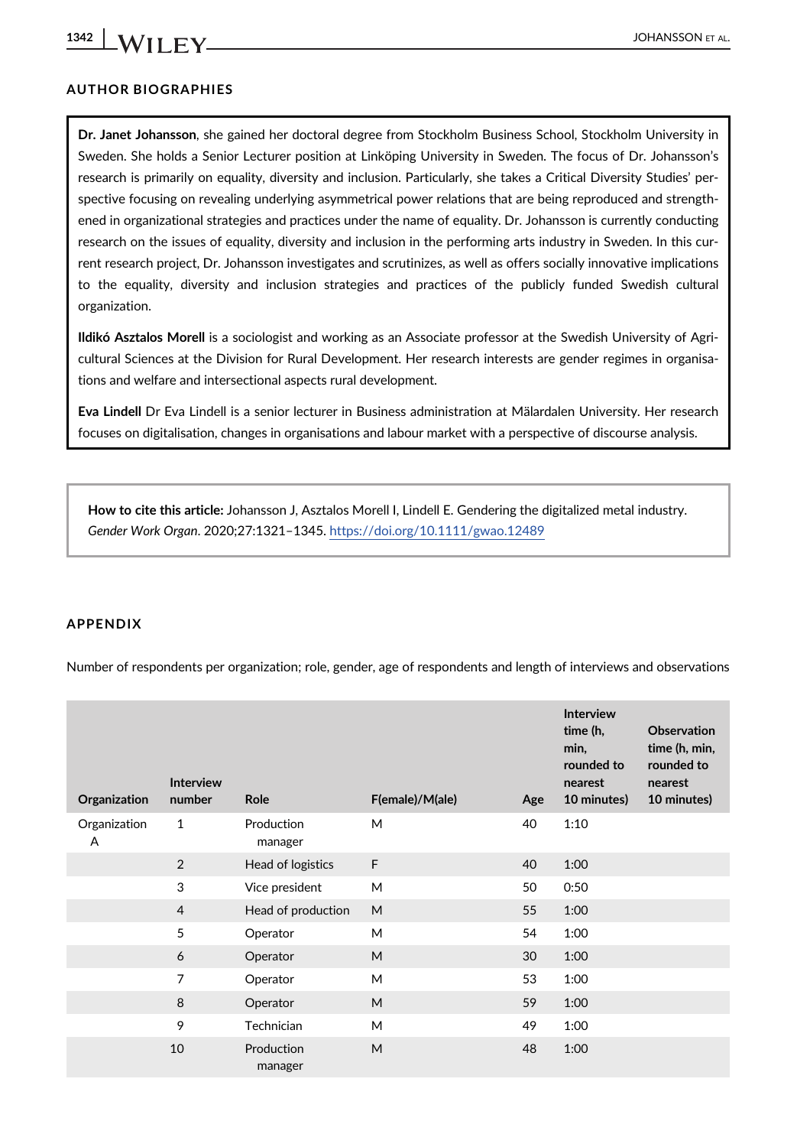## **AUTHOR BIOGRAPHIES**

**Dr. Janet Johansson**, she gained her doctoral degree from Stockholm Business School, Stockholm University in Sweden. She holds a Senior Lecturer position at Linköping University in Sweden. The focus of Dr. Johansson's research is primarily on equality, diversity and inclusion. Particularly, she takes a Critical Diversity Studies' perspective focusing on revealing underlying asymmetrical power relations that are being reproduced and strengthened in organizational strategies and practices under the name of equality. Dr. Johansson is currently conducting research on the issues of equality, diversity and inclusion in the performing arts industry in Sweden. In this current research project, Dr. Johansson investigates and scrutinizes, as well as offers socially innovative implications to the equality, diversity and inclusion strategies and practices of the publicly funded Swedish cultural organization.

**Ildikó Asztalos Morell** is a sociologist and working as an Associate professor at the Swedish University of Agricultural Sciences at the Division for Rural Development. Her research interests are gender regimes in organisations and welfare and intersectional aspects rural development.

**Eva Lindell** Dr Eva Lindell is a senior lecturer in Business administration at Mälardalen University. Her research focuses on digitalisation, changes in organisations and labour market with a perspective of discourse analysis.

**How to cite this article:** Johansson J, Asztalos Morell I, Lindell E. Gendering the digitalized metal industry. *Gender Work Organ*. 2020;27:1321–1345. <https://doi.org/10.1111/gwao.12489>

### **APPENDIX**

Number of respondents per organization; role, gender, age of respondents and length of interviews and observations

| Organization      | <b>Interview</b><br>number | <b>Role</b>           | F(emale)/M(ale) | Age | <b>Interview</b><br>time (h,<br>min,<br>rounded to<br>nearest<br>10 minutes) | <b>Observation</b><br>time (h, min,<br>rounded to<br>nearest<br>10 minutes) |
|-------------------|----------------------------|-----------------------|-----------------|-----|------------------------------------------------------------------------------|-----------------------------------------------------------------------------|
| Organization<br>A | $\mathbf{1}$               | Production<br>manager | M               | 40  | 1:10                                                                         |                                                                             |
|                   | $\overline{2}$             | Head of logistics     | F               | 40  | 1:00                                                                         |                                                                             |
|                   | 3                          | Vice president        | M               | 50  | 0:50                                                                         |                                                                             |
|                   | $\overline{4}$             | Head of production    | M               | 55  | 1:00                                                                         |                                                                             |
|                   | 5                          | Operator              | M               | 54  | 1:00                                                                         |                                                                             |
|                   | 6                          | Operator              | M               | 30  | 1:00                                                                         |                                                                             |
|                   | $\overline{7}$             | Operator              | M               | 53  | 1:00                                                                         |                                                                             |
|                   | 8                          | Operator              | M               | 59  | 1:00                                                                         |                                                                             |
|                   | 9                          | Technician            | M               | 49  | 1:00                                                                         |                                                                             |
|                   | 10                         | Production<br>manager | M               | 48  | 1:00                                                                         |                                                                             |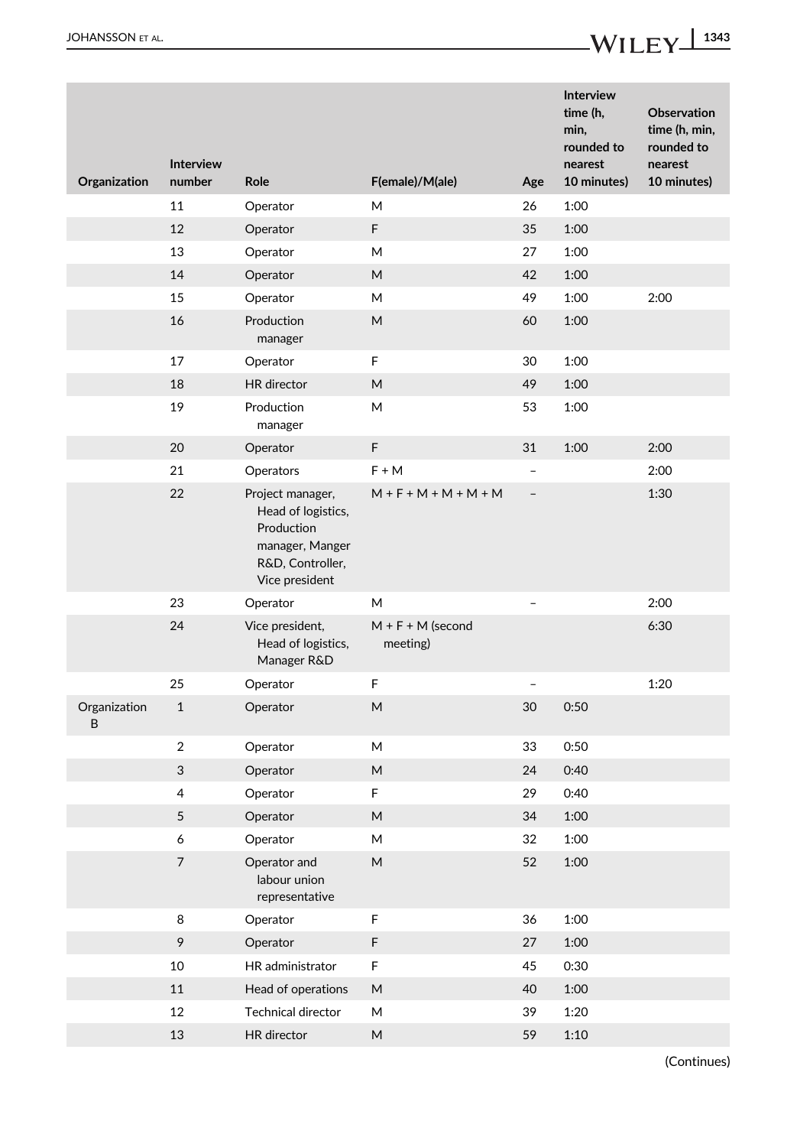| Organization      | Interview<br>number       | Role                                                                                                          | F(emale)/M(ale)                                                                                            | Age                      | Interview<br>time (h,<br>min,<br>rounded to<br>nearest<br>10 minutes) | Observation<br>time (h, min,<br>rounded to<br>nearest<br>10 minutes) |
|-------------------|---------------------------|---------------------------------------------------------------------------------------------------------------|------------------------------------------------------------------------------------------------------------|--------------------------|-----------------------------------------------------------------------|----------------------------------------------------------------------|
|                   | 11                        | Operator                                                                                                      | Μ                                                                                                          | 26                       | 1:00                                                                  |                                                                      |
|                   | 12                        | Operator                                                                                                      | F                                                                                                          | 35                       | 1:00                                                                  |                                                                      |
|                   | 13                        | Operator                                                                                                      | Μ                                                                                                          | 27                       | 1:00                                                                  |                                                                      |
|                   | 14                        | Operator                                                                                                      | M                                                                                                          | 42                       | 1:00                                                                  |                                                                      |
|                   | 15                        | Operator                                                                                                      | Μ                                                                                                          | 49                       | 1:00                                                                  | 2:00                                                                 |
|                   | 16                        | Production<br>manager                                                                                         | М                                                                                                          | 60                       | 1:00                                                                  |                                                                      |
|                   | 17                        | Operator                                                                                                      | F                                                                                                          | 30                       | 1:00                                                                  |                                                                      |
|                   | 18                        | HR director                                                                                                   | M                                                                                                          | 49                       | 1:00                                                                  |                                                                      |
|                   | 19                        | Production<br>manager                                                                                         | Μ                                                                                                          | 53                       | 1:00                                                                  |                                                                      |
|                   | 20                        | Operator                                                                                                      | F                                                                                                          | 31                       | 1:00                                                                  | 2:00                                                                 |
|                   | 21                        | Operators                                                                                                     | $F + M$                                                                                                    | $\overline{a}$           |                                                                       | 2:00                                                                 |
|                   | 22                        | Project manager,<br>Head of logistics,<br>Production<br>manager, Manger<br>R&D, Controller,<br>Vice president | $M + F + M + M + M + M$                                                                                    | $\overline{\phantom{0}}$ |                                                                       | 1:30                                                                 |
|                   | 23                        | Operator                                                                                                      | M                                                                                                          | $\overline{a}$           |                                                                       | 2:00                                                                 |
|                   | 24                        | Vice president,<br>Head of logistics,<br>Manager R&D                                                          | $M + F + M$ (second<br>meeting)                                                                            |                          |                                                                       | 6:30                                                                 |
|                   | 25                        | Operator                                                                                                      | F                                                                                                          | -                        |                                                                       | 1:20                                                                 |
| Organization<br>B | $\mathbf{1}$              | Operator                                                                                                      | M                                                                                                          | 30                       | 0:50                                                                  |                                                                      |
|                   | $\overline{2}$            | Operator                                                                                                      | Μ                                                                                                          | 33                       | 0:50                                                                  |                                                                      |
|                   | $\ensuremath{\mathsf{3}}$ | Operator                                                                                                      | $\mathsf{M}% _{T}=\mathsf{M}_{T}\!\left( a,b\right) ,\ \mathsf{M}_{T}=\mathsf{M}_{T}\!\left( a,b\right) ,$ | 24                       | 0:40                                                                  |                                                                      |
|                   | 4                         | Operator                                                                                                      | F                                                                                                          | 29                       | 0:40                                                                  |                                                                      |
|                   | 5                         | Operator                                                                                                      | M                                                                                                          | 34                       | 1:00                                                                  |                                                                      |
|                   | $\epsilon$                | Operator                                                                                                      | М                                                                                                          | 32                       | 1:00                                                                  |                                                                      |
|                   | $\overline{\phantom{a}}$  | Operator and<br>labour union<br>representative                                                                | M                                                                                                          | 52                       | 1:00                                                                  |                                                                      |
|                   | 8                         | Operator                                                                                                      | F                                                                                                          | 36                       | 1:00                                                                  |                                                                      |
|                   | 9                         | Operator                                                                                                      | F                                                                                                          | 27                       | 1:00                                                                  |                                                                      |
|                   | 10                        | HR administrator                                                                                              | F                                                                                                          | 45                       | 0:30                                                                  |                                                                      |
|                   | $11\,$                    | Head of operations                                                                                            | M                                                                                                          | 40                       | 1:00                                                                  |                                                                      |
|                   | $12\,$                    | Technical director                                                                                            | Μ                                                                                                          | 39                       | 1:20                                                                  |                                                                      |
|                   | 13                        | HR director                                                                                                   | ${\sf M}$                                                                                                  | 59                       | 1:10                                                                  |                                                                      |

(Continues)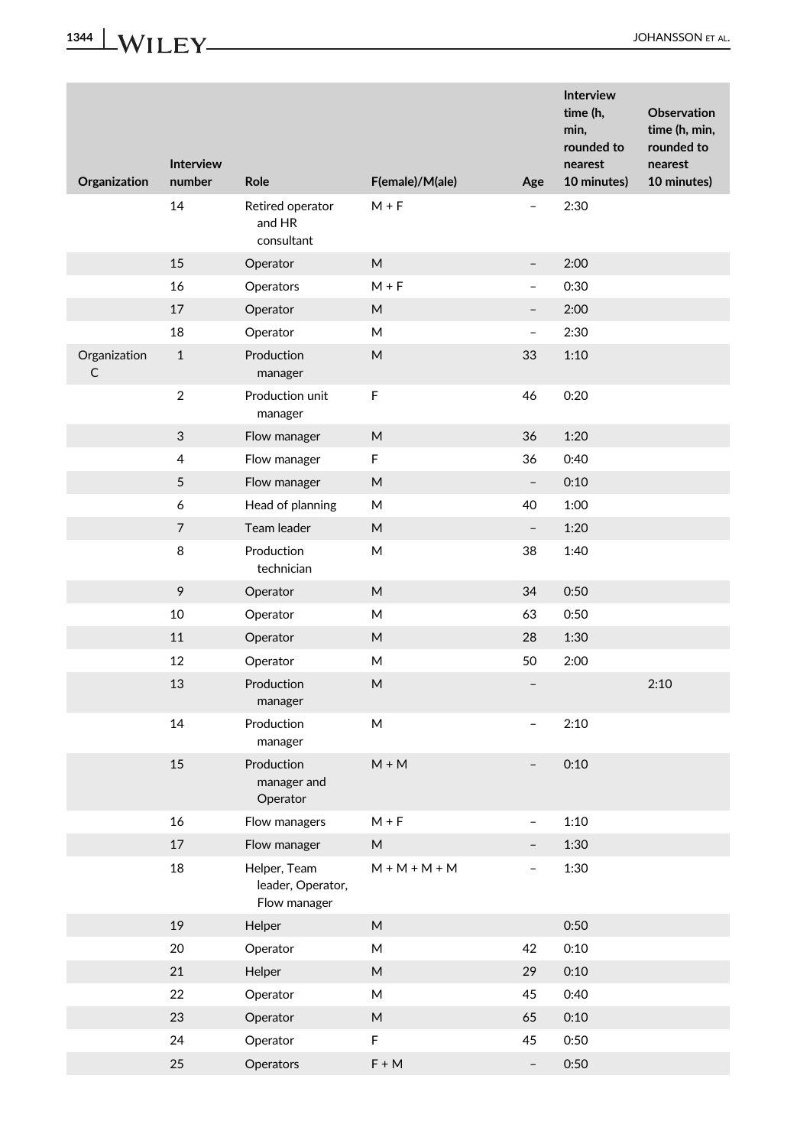**1344 WILEY** JOHANSSON ET AL.

| Organization      | Interview<br>number | Role                                              | F(emale)/M(ale)           | Age                      | Interview<br>time (h,<br>min,<br>rounded to<br>nearest<br>10 minutes) | Observation<br>time (h, min,<br>rounded to<br>nearest<br>10 minutes) |
|-------------------|---------------------|---------------------------------------------------|---------------------------|--------------------------|-----------------------------------------------------------------------|----------------------------------------------------------------------|
|                   | 14                  | Retired operator<br>and HR<br>consultant          | $M + F$                   | $\qquad \qquad -$        | 2:30                                                                  |                                                                      |
|                   | 15                  | Operator                                          | M                         | $\qquad \qquad -$        | 2:00                                                                  |                                                                      |
|                   | 16                  | Operators                                         | $M + F$                   | $\overline{\phantom{a}}$ | 0:30                                                                  |                                                                      |
|                   | 17                  | Operator                                          | M                         |                          | 2:00                                                                  |                                                                      |
|                   | 18                  | Operator                                          | М                         | $\overline{a}$           | 2:30                                                                  |                                                                      |
| Organization<br>C | $\,1\,$             | Production<br>manager                             | M                         | 33                       | 1:10                                                                  |                                                                      |
|                   | $\overline{2}$      | Production unit<br>manager                        | F                         | 46                       | 0:20                                                                  |                                                                      |
|                   | 3                   | Flow manager                                      | M                         | 36                       | 1:20                                                                  |                                                                      |
|                   | 4                   | Flow manager                                      | F                         | 36                       | 0:40                                                                  |                                                                      |
|                   | $\mathbf 5$         | Flow manager                                      | M                         | $\qquad \qquad -$        | 0:10                                                                  |                                                                      |
|                   | 6                   | Head of planning                                  | М                         | 40                       | 1:00                                                                  |                                                                      |
|                   | $\overline{7}$      | Team leader                                       | M                         | $\qquad \qquad -$        | 1:20                                                                  |                                                                      |
|                   | 8                   | Production<br>technician                          | M                         | 38                       | 1:40                                                                  |                                                                      |
|                   | 9                   | Operator                                          | M                         | 34                       | 0:50                                                                  |                                                                      |
|                   | 10                  | Operator                                          | M                         | 63                       | 0:50                                                                  |                                                                      |
|                   | 11                  | Operator                                          | ${\sf M}$                 | 28                       | 1:30                                                                  |                                                                      |
|                   | 12                  | Operator                                          | М                         | 50                       | 2:00                                                                  |                                                                      |
|                   | 13                  | Production<br>manager                             | M                         |                          |                                                                       | 2:10                                                                 |
|                   | 14                  | Production<br>manager                             | M                         |                          | 2:10                                                                  |                                                                      |
|                   | 15                  | Production<br>manager and<br>Operator             | $M + M$                   |                          | 0:10                                                                  |                                                                      |
|                   | 16                  | Flow managers                                     | $M + F$                   |                          | 1:10                                                                  |                                                                      |
|                   | $17\,$              | Flow manager                                      | ${\sf M}$                 |                          | 1:30                                                                  |                                                                      |
|                   | 18                  | Helper, Team<br>leader, Operator,<br>Flow manager | $M + M + M + M$           | $\qquad \qquad -$        | 1:30                                                                  |                                                                      |
|                   | 19                  | Helper                                            | M                         |                          | 0:50                                                                  |                                                                      |
|                   | 20                  | Operator                                          | М                         | 42                       | 0:10                                                                  |                                                                      |
|                   | 21                  | Helper                                            | ${\sf M}$                 | 29                       | 0:10                                                                  |                                                                      |
|                   | 22                  | Operator                                          | $\sf M$                   | 45                       | 0:40                                                                  |                                                                      |
|                   | 23                  | Operator                                          | ${\sf M}$                 | 65                       | 0:10                                                                  |                                                                      |
|                   | 24                  | Operator                                          | F                         | 45                       | 0:50                                                                  |                                                                      |
|                   | 25                  | Operators                                         | $\mathsf{F} + \mathsf{M}$ | $\overline{\phantom{0}}$ | 0:50                                                                  |                                                                      |